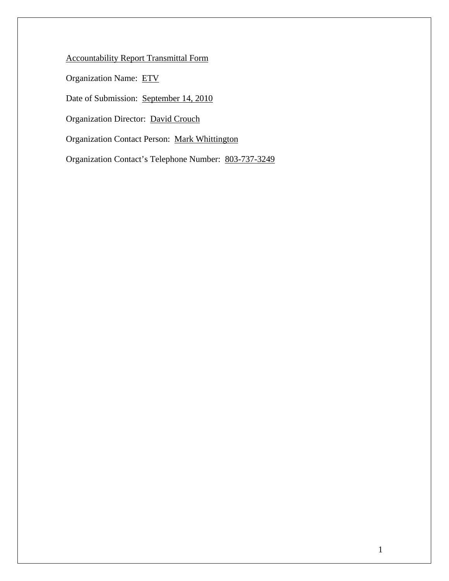Accountability Report Transmittal Form

Organization Name: ETV

Date of Submission: September 14, 2010

Organization Director: David Crouch

Organization Contact Person: Mark Whittington

Organization Contact's Telephone Number: 803-737-3249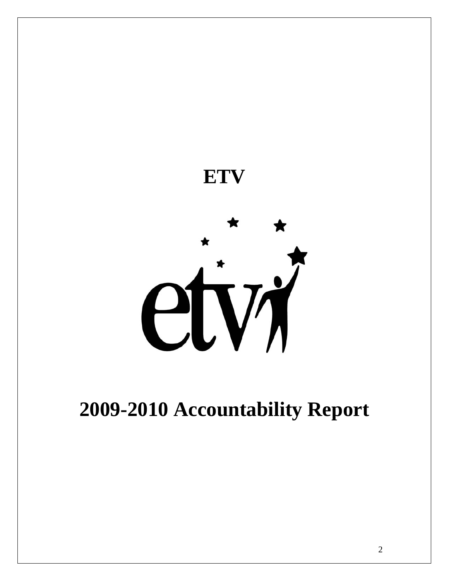

# **2009-2010 Accountability Report**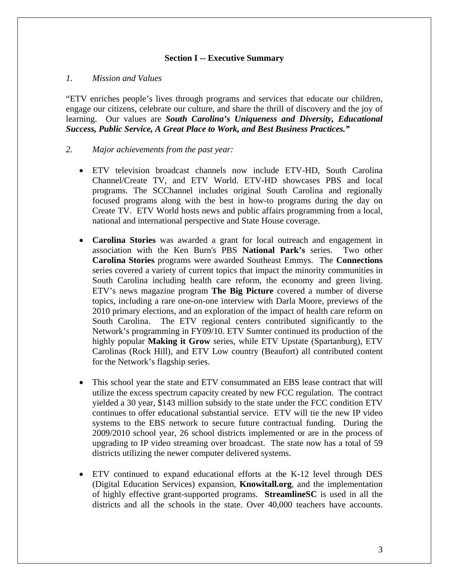#### **Section I -- Executive Summary**

#### *1. Mission and Values*

"ETV enriches people's lives through programs and services that educate our children, engage our citizens, celebrate our culture, and share the thrill of discovery and the joy of learning. Our values are *South Carolina's Uniqueness and Diversity, Educational Success, Public Service, A Great Place to Work, and Best Business Practices."*

#### *2. Major achievements from the past year:*

- ETV television broadcast channels now include ETV-HD, South Carolina Channel/Create TV, and ETV World. ETV-HD showcases PBS and local programs. The SCChannel includes original South Carolina and regionally focused programs along with the best in how-to programs during the day on Create TV. ETV World hosts news and public affairs programming from a local, national and international perspective and State House coverage.
- **Carolina Stories** was awarded a grant for local outreach and engagement in association with the Ken Burn's PBS **National Park's** series. Two other **Carolina Stories** programs were awarded Southeast Emmys. The **Connections** series covered a variety of current topics that impact the minority communities in South Carolina including health care reform, the economy and green living. ETV's news magazine program **The Big Picture** covered a number of diverse topics, including a rare one-on-one interview with Darla Moore, previews of the 2010 primary elections, and an exploration of the impact of health care reform on South Carolina. The ETV regional centers contributed significantly to the Network's programming in FY09/10. ETV Sumter continued its production of the highly popular **Making it Grow** series, while ETV Upstate (Spartanburg), ETV Carolinas (Rock Hill), and ETV Low country (Beaufort) all contributed content for the Network's flagship series.
- This school year the state and ETV consummated an EBS lease contract that will utilize the excess spectrum capacity created by new FCC regulation. The contract yielded a 30 year, \$143 million subsidy to the state under the FCC condition ETV continues to offer educational substantial service. ETV will tie the new IP video systems to the EBS network to secure future contractual funding. During the 2009/2010 school year, 26 school districts implemented or are in the process of upgrading to IP video streaming over broadcast. The state now has a total of 59 districts utilizing the newer computer delivered systems.
- ETV continued to expand educational efforts at the K-12 level through DES (Digital Education Services) expansion, **Knowitall.org**, and the implementation of highly effective grant-supported programs. **StreamlineSC** is used in all the districts and all the schools in the state. Over 40,000 teachers have accounts.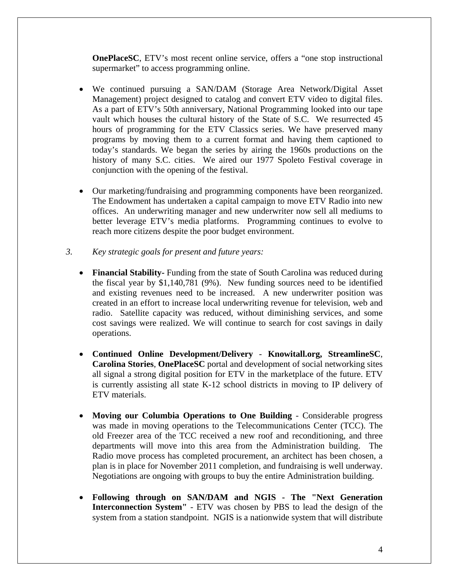**OnePlaceSC**, ETV's most recent online service, offers a "one stop instructional supermarket" to access programming online.

- We continued pursuing a SAN/DAM (Storage Area Network/Digital Asset Management) project designed to catalog and convert ETV video to digital files. As a part of ETV's 50th anniversary, National Programming looked into our tape vault which houses the cultural history of the State of S.C. We resurrected 45 hours of programming for the ETV Classics series. We have preserved many programs by moving them to a current format and having them captioned to today's standards. We began the series by airing the 1960s productions on the history of many S.C. cities. We aired our 1977 Spoleto Festival coverage in conjunction with the opening of the festival.
- Our marketing/fundraising and programming components have been reorganized. The Endowment has undertaken a capital campaign to move ETV Radio into new offices. An underwriting manager and new underwriter now sell all mediums to better leverage ETV's media platforms. Programming continues to evolve to reach more citizens despite the poor budget environment.
- *3. Key strategic goals for present and future years:* 
	- **Financial Stability-** Funding from the state of South Carolina was reduced during the fiscal year by \$1,140,781 (9%). New funding sources need to be identified and existing revenues need to be increased. A new underwriter position was created in an effort to increase local underwriting revenue for television, web and radio. Satellite capacity was reduced, without diminishing services, and some cost savings were realized. We will continue to search for cost savings in daily operations.
	- **Continued Online Development/Delivery Knowitall.org, StreamlineSC**, **Carolina Stories**, **OnePlaceSC** portal and development of social networking sites all signal a strong digital position for ETV in the marketplace of the future. ETV is currently assisting all state K-12 school districts in moving to IP delivery of ETV materials.
	- **Moving our Columbia Operations to One Building** Considerable progress was made in moving operations to the Telecommunications Center (TCC). The old Freezer area of the TCC received a new roof and reconditioning, and three departments will move into this area from the Administration building. The Radio move process has completed procurement, an architect has been chosen, a plan is in place for November 2011 completion, and fundraising is well underway. Negotiations are ongoing with groups to buy the entire Administration building.
	- **Following through on SAN/DAM and NGIS The "Next Generation Interconnection System"** - ETV was chosen by PBS to lead the design of the system from a station standpoint. NGIS is a nationwide system that will distribute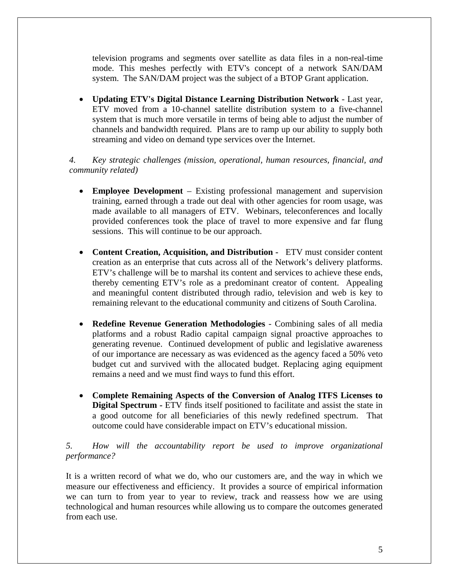television programs and segments over satellite as data files in a non-real-time mode. This meshes perfectly with ETV's concept of a network SAN/DAM system. The SAN/DAM project was the subject of a BTOP Grant application.

• **Updating ETV's Digital Distance Learning Distribution Network** - Last year, ETV moved from a 10-channel satellite distribution system to a five-channel system that is much more versatile in terms of being able to adjust the number of channels and bandwidth required. Plans are to ramp up our ability to supply both streaming and video on demand type services over the Internet.

*4. Key strategic challenges (mission, operational, human resources, financial, and community related)* 

- **Employee Development** Existing professional management and supervision training, earned through a trade out deal with other agencies for room usage, was made available to all managers of ETV. Webinars, teleconferences and locally provided conferences took the place of travel to more expensive and far flung sessions. This will continue to be our approach.
- **Content Creation, Acquisition, and Distribution -** ETV must consider content creation as an enterprise that cuts across all of the Network's delivery platforms. ETV's challenge will be to marshal its content and services to achieve these ends, thereby cementing ETV's role as a predominant creator of content. Appealing and meaningful content distributed through radio, television and web is key to remaining relevant to the educational community and citizens of South Carolina.
- **Redefine Revenue Generation Methodologies** Combining sales of all media platforms and a robust Radio capital campaign signal proactive approaches to generating revenue. Continued development of public and legislative awareness of our importance are necessary as was evidenced as the agency faced a 50% veto budget cut and survived with the allocated budget. Replacing aging equipment remains a need and we must find ways to fund this effort.
- **Complete Remaining Aspects of the Conversion of Analog ITFS Licenses to Digital Spectrum -** ETV finds itself positioned to facilitate and assist the state in a good outcome for all beneficiaries of this newly redefined spectrum. That outcome could have considerable impact on ETV's educational mission.

# *5. How will the accountability report be used to improve organizational performance?*

It is a written record of what we do, who our customers are, and the way in which we measure our effectiveness and efficiency. It provides a source of empirical information we can turn to from year to year to review, track and reassess how we are using technological and human resources while allowing us to compare the outcomes generated from each use.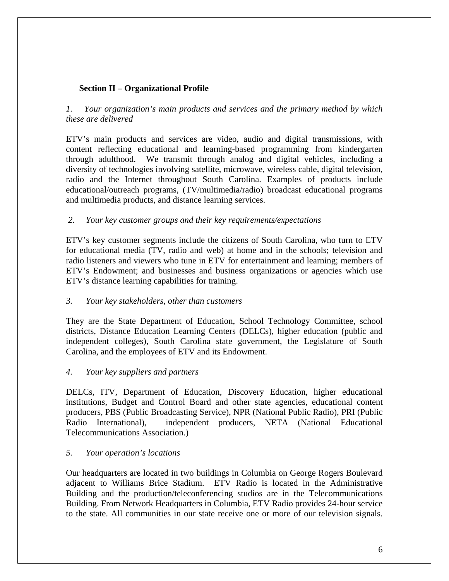# **Section II – Organizational Profile**

# *1. Your organization's main products and services and the primary method by which these are delivered*

ETV's main products and services are video, audio and digital transmissions, with content reflecting educational and learning-based programming from kindergarten through adulthood. We transmit through analog and digital vehicles, including a diversity of technologies involving satellite, microwave, wireless cable, digital television, radio and the Internet throughout South Carolina. Examples of products include educational/outreach programs, (TV/multimedia/radio) broadcast educational programs and multimedia products, and distance learning services.

#### *2. Your key customer groups and their key requirements/expectations*

ETV's key customer segments include the citizens of South Carolina, who turn to ETV for educational media (TV, radio and web) at home and in the schools; television and radio listeners and viewers who tune in ETV for entertainment and learning; members of ETV's Endowment; and businesses and business organizations or agencies which use ETV's distance learning capabilities for training.

#### *3. Your key stakeholders, other than customers*

They are the State Department of Education, School Technology Committee, school districts, Distance Education Learning Centers (DELCs), higher education (public and independent colleges), South Carolina state government, the Legislature of South Carolina, and the employees of ETV and its Endowment.

#### *4. Your key suppliers and partners*

DELCs, ITV, Department of Education, Discovery Education, higher educational institutions, Budget and Control Board and other state agencies, educational content producers, PBS (Public Broadcasting Service), NPR (National Public Radio), PRI (Public Radio International), independent producers, NETA (National Educational Telecommunications Association.)

#### *5. Your operation's locations*

Our headquarters are located in two buildings in Columbia on George Rogers Boulevard adjacent to Williams Brice Stadium. ETV Radio is located in the Administrative Building and the production/teleconferencing studios are in the Telecommunications Building. From Network Headquarters in Columbia, ETV Radio provides 24-hour service to the state. All communities in our state receive one or more of our television signals.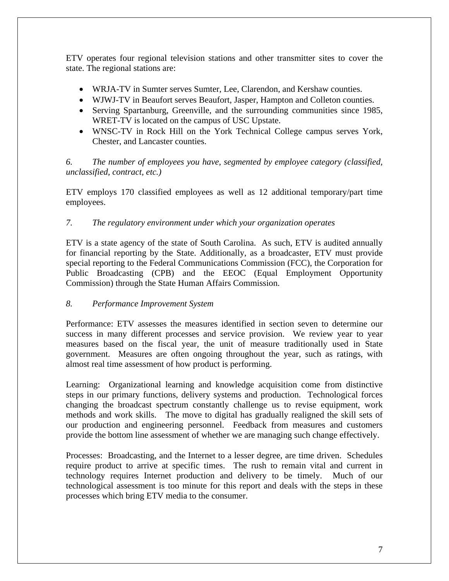ETV operates four regional television stations and other transmitter sites to cover the state. The regional stations are:

- WRJA-TV in Sumter serves Sumter, Lee, Clarendon, and Kershaw counties.
- WJWJ-TV in Beaufort serves Beaufort, Jasper, Hampton and Colleton counties.
- Serving Spartanburg, Greenville, and the surrounding communities since 1985, WRET-TV is located on the campus of USC Upstate.
- WNSC-TV in Rock Hill on the York Technical College campus serves York, Chester, and Lancaster counties.

*6. The number of employees you have, segmented by employee category (classified, unclassified, contract, etc.)* 

ETV employs 170 classified employees as well as 12 additional temporary/part time employees.

# *7. The regulatory environment under which your organization operates*

ETV is a state agency of the state of South Carolina. As such, ETV is audited annually for financial reporting by the State. Additionally, as a broadcaster, ETV must provide special reporting to the Federal Communications Commission (FCC), the Corporation for Public Broadcasting (CPB) and the EEOC (Equal Employment Opportunity Commission) through the State Human Affairs Commission.

#### *8. Performance Improvement System*

Performance: ETV assesses the measures identified in section seven to determine our success in many different processes and service provision. We review year to year measures based on the fiscal year, the unit of measure traditionally used in State government. Measures are often ongoing throughout the year, such as ratings, with almost real time assessment of how product is performing.

Learning: Organizational learning and knowledge acquisition come from distinctive steps in our primary functions, delivery systems and production. Technological forces changing the broadcast spectrum constantly challenge us to revise equipment, work methods and work skills. The move to digital has gradually realigned the skill sets of our production and engineering personnel. Feedback from measures and customers provide the bottom line assessment of whether we are managing such change effectively.

Processes: Broadcasting, and the Internet to a lesser degree, are time driven. Schedules require product to arrive at specific times. The rush to remain vital and current in technology requires Internet production and delivery to be timely. Much of our technological assessment is too minute for this report and deals with the steps in these processes which bring ETV media to the consumer.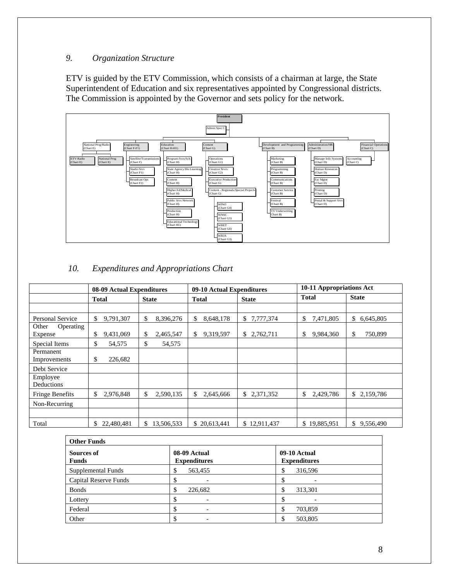# *9. Organization Structure*

ETV is guided by the ETV Commission, which consists of a chairman at large, the State Superintendent of Education and six representatives appointed by Congressional districts. The Commission is appointed by the Governor and sets policy for the network.



# *10. Expenditures and Appropriations Chart*

|                               | 08-09 Actual Expenditures |                              |                  | 09-10 Actual Expenditures |                 | 10-11 Appropriations Act |
|-------------------------------|---------------------------|------------------------------|------------------|---------------------------|-----------------|--------------------------|
|                               | Total                     | <b>State</b><br><b>Total</b> |                  | <b>State</b>              | <b>Total</b>    | <b>State</b>             |
|                               |                           |                              |                  |                           |                 |                          |
| Personal Service              | \$<br>9,791,307           | \$<br>8,396,276              | \$<br>8,648,178  | 7,777,374<br>\$           | \$<br>7,471,805 | \$<br>6,645,805          |
| Other<br>Operating<br>Expense | \$<br>9,431,069           | \$<br>2,465,547              | \$<br>9,319,597  | 2,762,711<br>\$           | \$<br>9,984,360 | \$<br>750,899            |
| Special Items                 | \$<br>54,575              | \$<br>54,575                 |                  |                           |                 |                          |
| Permanent<br>Improvements     | \$<br>226,682             |                              |                  |                           |                 |                          |
| Debt Service                  |                           |                              |                  |                           |                 |                          |
| Employee<br>Deductions        |                           |                              |                  |                           |                 |                          |
| <b>Fringe Benefits</b>        | \$<br>2,976,848           | \$<br>2,590,135              | \$<br>2,645,666  | \$<br>2,371,352           | \$<br>2,429,786 | \$2,159,786              |
| Non-Recurring                 |                           |                              |                  |                           |                 |                          |
| Total                         | 22,480,481<br>\$          | 13,506,533<br>\$             | 20,613,441<br>\$ | \$12,911,437              | \$19,885,951    | 9,556,490<br>\$.         |

| <b>Other Funds</b>         |                                     |                                     |  |  |  |
|----------------------------|-------------------------------------|-------------------------------------|--|--|--|
| Sources of<br><b>Funds</b> | 08-09 Actual<br><b>Expenditures</b> | 09-10 Actual<br><b>Expenditures</b> |  |  |  |
| Supplemental Funds         | 563,455                             | 316,596                             |  |  |  |
| Capital Reserve Funds      |                                     |                                     |  |  |  |
| <b>Bonds</b>               | 226,682                             | 313,301                             |  |  |  |
| Lottery                    | $\overline{\phantom{0}}$            |                                     |  |  |  |
| Federal                    | $\overline{\phantom{0}}$            | 703,859                             |  |  |  |
| Other                      |                                     | 503,805                             |  |  |  |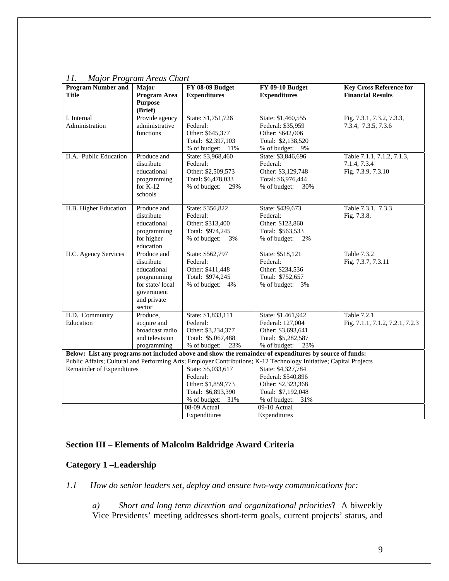| <b>Program Number and</b> | Major                     | FY 08-09 Budget     | <b>FY 09-10 Budget</b>                                                                                             | <b>Key Cross Reference for</b>  |
|---------------------------|---------------------------|---------------------|--------------------------------------------------------------------------------------------------------------------|---------------------------------|
| <b>Title</b>              | Program Area              | <b>Expenditures</b> | <b>Expenditures</b>                                                                                                | <b>Financial Results</b>        |
|                           | <b>Purpose</b><br>(Brief) |                     |                                                                                                                    |                                 |
| I. Internal               | Provide agency            | State: \$1,751,726  | State: \$1,460,555                                                                                                 | Fig. 7.3.1, 7.3.2, 7.3.3,       |
| Administration            | administrative            | Federal:            | Federal: \$35,959                                                                                                  | 7.3.4, 7.3.5, 7.3.6             |
|                           | functions                 | Other: \$645,377    | Other: \$642,006                                                                                                   |                                 |
|                           |                           | Total: \$2,397,103  | Total: \$2,138,520                                                                                                 |                                 |
|                           |                           | % of budget: $11\%$ | % of budget: 9%                                                                                                    |                                 |
| II.A. Public Education    | Produce and               | State: \$3,968,460  | State: \$3,846,696                                                                                                 | Table 7.1.1, 7.1.2, 7.1.3,      |
|                           | distribute                | Federal:            | Federal:                                                                                                           | 7.1.4, 7.3.4                    |
|                           | educational               | Other: \$2,509,573  | Other: \$3,129,748                                                                                                 | Fig. 7.3.9, 7.3.10              |
|                           | programming               | Total: \$6,478,033  | Total: \$6,976,444                                                                                                 |                                 |
|                           | for $K-12$                | % of budget:<br>29% | % of budget:<br>30%                                                                                                |                                 |
|                           | schools                   |                     |                                                                                                                    |                                 |
| II.B. Higher Education    | Produce and               | State: \$356,822    | State: \$439,673                                                                                                   | Table 7.3.1, 7.3.3              |
|                           | distribute                | Federal:            | Federal:                                                                                                           | Fig. 7.3.8,                     |
|                           | educational               | Other: \$313,400    | Other: \$123,860                                                                                                   |                                 |
|                           | programming               | Total: \$974,245    | Total: \$563,533                                                                                                   |                                 |
|                           | for higher                | % of budget:<br>3%  | % of budget:<br>2%                                                                                                 |                                 |
|                           | education                 |                     |                                                                                                                    |                                 |
| II.C. Agency Services     | Produce and               | State: \$562,797    | State: \$518,121                                                                                                   | Table 7.3.2                     |
|                           | distribute                | Federal:            | Federal:                                                                                                           | Fig. 7.3.7, 7.3.11              |
|                           | educational               | Other: \$411,448    | Other: \$234,536                                                                                                   |                                 |
|                           | programming               | Total: \$974,245    | Total: \$752,657                                                                                                   |                                 |
|                           | for state/local           | % of budget: 4%     | % of budget: 3%                                                                                                    |                                 |
|                           | government                |                     |                                                                                                                    |                                 |
|                           | and private               |                     |                                                                                                                    |                                 |
|                           | sector                    |                     |                                                                                                                    |                                 |
| II.D. Community           | Produce,                  | State: \$1,833,111  | State: \$1.461,942                                                                                                 | Table 7.2.1                     |
| Education                 | acquire and               | Federal:            | Federal: 127,004                                                                                                   | Fig. 7.1.1, 7.1.2, 7.2.1, 7.2.3 |
|                           | broadcast radio           | Other: \$3,234,377  | Other: \$3,693,641                                                                                                 |                                 |
|                           | and television            | Total: \$5,067,488  | Total: \$5,282,587                                                                                                 |                                 |
|                           | programming               | % of budget:<br>23% | 23%<br>% of budget:                                                                                                |                                 |
|                           |                           |                     | Below: List any programs not included above and show the remainder of expenditures by source of funds:             |                                 |
|                           |                           |                     | Public Affairs; Cultural and Performing Arts; Employer Contributions; K-12 Technology Initiative; Capital Projects |                                 |
| Remainder of Expenditures |                           | State: \$5,033,617  | State: \$4,327,784                                                                                                 |                                 |
|                           |                           | Federal:            | Federal: \$540,896                                                                                                 |                                 |
|                           |                           | Other: \$1,859,773  | Other: \$2,323,368                                                                                                 |                                 |
|                           |                           | Total: \$6,893,390  | Total: \$7,192,048                                                                                                 |                                 |
|                           |                           | % of budget:<br>31% | % of budget: 31%                                                                                                   |                                 |
|                           |                           | 08-09 Actual        | 09-10 Actual                                                                                                       |                                 |
|                           |                           | Expenditures        | Expenditures                                                                                                       |                                 |

# *11. Major Program Areas Chart*

# **Section III – Elements of Malcolm Baldridge Award Criteria**

# **Category 1 –Leadership**

*1.1 How do senior leaders set, deploy and ensure two-way communications for:* 

*a) Short and long term direction and organizational priorities*? A biweekly Vice Presidents' meeting addresses short-term goals, current projects' status, and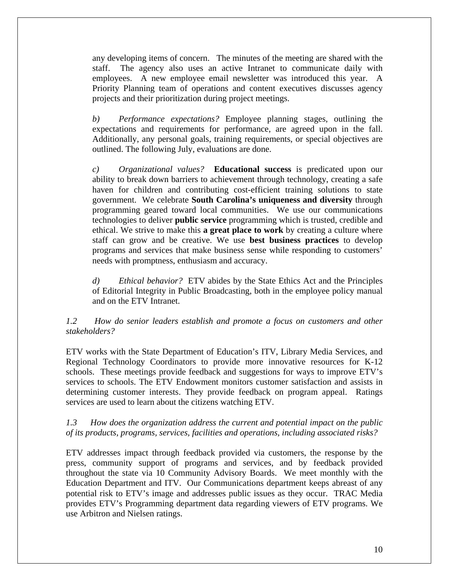any developing items of concern. The minutes of the meeting are shared with the staff. The agency also uses an active Intranet to communicate daily with employees. A new employee email newsletter was introduced this year. A Priority Planning team of operations and content executives discusses agency projects and their prioritization during project meetings.

*b) Performance expectations?* Employee planning stages, outlining the expectations and requirements for performance, are agreed upon in the fall. Additionally, any personal goals, training requirements, or special objectives are outlined. The following July, evaluations are done.

*c) Organizational values?* **Educational success** is predicated upon our ability to break down barriers to achievement through technology, creating a safe haven for children and contributing cost-efficient training solutions to state government.We celebrate **South Carolina's uniqueness and diversity** through programming geared toward local communities. We use our communications technologies to deliver **public service** programming which is trusted, credible and ethical. We strive to make this **a great place to work** by creating a culture where staff can grow and be creative. We use **best business practices** to develop programs and services that make business sense while responding to customers' needs with promptness, enthusiasm and accuracy.

*d) Ethical behavior?* ETV abides by the State Ethics Act and the Principles of Editorial Integrity in Public Broadcasting, both in the employee policy manual and on the ETV Intranet.

#### *1.2 How do senior leaders establish and promote a focus on customers and other stakeholders?*

ETV works with the State Department of Education's ITV, Library Media Services, and Regional Technology Coordinators to provide more innovative resources for K-12 schools. These meetings provide feedback and suggestions for ways to improve ETV's services to schools. The ETV Endowment monitors customer satisfaction and assists in determining customer interests. They provide feedback on program appeal. Ratings services are used to learn about the citizens watching ETV.

#### *1.3 How does the organization address the current and potential impact on the public of its products, programs, services, facilities and operations, including associated risks?*

ETV addresses impact through feedback provided via customers, the response by the press, community support of programs and services, and by feedback provided throughout the state via 10 Community Advisory Boards. We meet monthly with the Education Department and ITV. Our Communications department keeps abreast of any potential risk to ETV's image and addresses public issues as they occur. TRAC Media provides ETV's Programming department data regarding viewers of ETV programs. We use Arbitron and Nielsen ratings.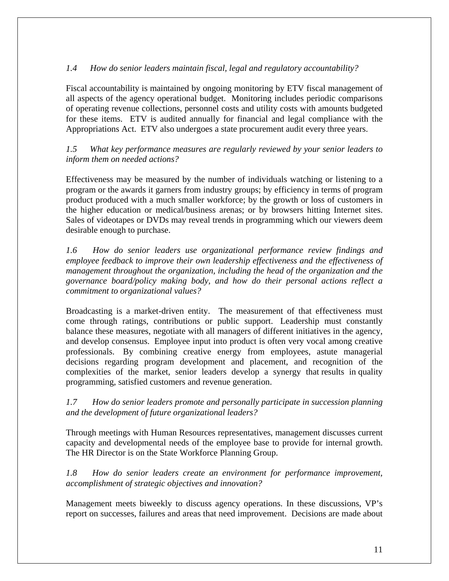# *1.4 How do senior leaders maintain fiscal, legal and regulatory accountability?*

Fiscal accountability is maintained by ongoing monitoring by ETV fiscal management of all aspects of the agency operational budget. Monitoring includes periodic comparisons of operating revenue collections, personnel costs and utility costs with amounts budgeted for these items. ETV is audited annually for financial and legal compliance with the Appropriations Act. ETV also undergoes a state procurement audit every three years.

*1.5 What key performance measures are regularly reviewed by your senior leaders to inform them on needed actions?*

Effectiveness may be measured by the number of individuals watching or listening to a program or the awards it garners from industry groups; by efficiency in terms of program product produced with a much smaller workforce; by the growth or loss of customers in the higher education or medical/business arenas; or by browsers hitting Internet sites. Sales of videotapes or DVDs may reveal trends in programming which our viewers deem desirable enough to purchase.

*1.6 How do senior leaders use organizational performance review findings and employee feedback to improve their own leadership effectiveness and the effectiveness of management throughout the organization, including the head of the organization and the governance board/policy making body, and how do their personal actions reflect a commitment to organizational values?*

Broadcasting is a market-driven entity. The measurement of that effectiveness must come through ratings, contributions or public support. Leadership must constantly balance these measures, negotiate with all managers of different initiatives in the agency, and develop consensus. Employee input into product is often very vocal among creative professionals. By combining creative energy from employees, astute managerial decisions regarding program development and placement, and recognition of the complexities of the market, senior leaders develop a synergy that results in quality programming, satisfied customers and revenue generation.

*1.7 How do senior leaders promote and personally participate in succession planning and the development of future organizational leaders?* 

Through meetings with Human Resources representatives, management discusses current capacity and developmental needs of the employee base to provide for internal growth. The HR Director is on the State Workforce Planning Group.

*1.8 How do senior leaders create an environment for performance improvement, accomplishment of strategic objectives and innovation?* 

Management meets biweekly to discuss agency operations. In these discussions, VP's report on successes, failures and areas that need improvement. Decisions are made about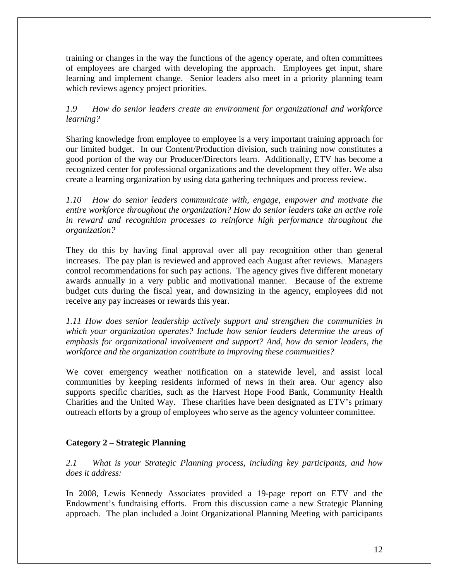training or changes in the way the functions of the agency operate, and often committees of employees are charged with developing the approach. Employees get input, share learning and implement change. Senior leaders also meet in a priority planning team which reviews agency project priorities.

# *1.9 How do senior leaders create an environment for organizational and workforce learning?*

Sharing knowledge from employee to employee is a very important training approach for our limited budget. In our Content/Production division, such training now constitutes a good portion of the way our Producer/Directors learn. Additionally, ETV has become a recognized center for professional organizations and the development they offer. We also create a learning organization by using data gathering techniques and process review.

*1.10 How do senior leaders communicate with, engage, empower and motivate the entire workforce throughout the organization? How do senior leaders take an active role in reward and recognition processes to reinforce high performance throughout the organization?* 

They do this by having final approval over all pay recognition other than general increases. The pay plan is reviewed and approved each August after reviews. Managers control recommendations for such pay actions. The agency gives five different monetary awards annually in a very public and motivational manner. Because of the extreme budget cuts during the fiscal year, and downsizing in the agency, employees did not receive any pay increases or rewards this year.

*1.11 How does senior leadership actively support and strengthen the communities in which your organization operates? Include how senior leaders determine the areas of emphasis for organizational involvement and support? And, how do senior leaders, the workforce and the organization contribute to improving these communities?*

We cover emergency weather notification on a statewide level, and assist local communities by keeping residents informed of news in their area. Our agency also supports specific charities, such as the Harvest Hope Food Bank, Community Health Charities and the United Way. These charities have been designated as ETV's primary outreach efforts by a group of employees who serve as the agency volunteer committee.

# **Category 2 – Strategic Planning**

*2.1 What is your Strategic Planning process, including key participants, and how does it address:* 

In 2008, Lewis Kennedy Associates provided a 19-page report on ETV and the Endowment's fundraising efforts. From this discussion came a new Strategic Planning approach. The plan included a Joint Organizational Planning Meeting with participants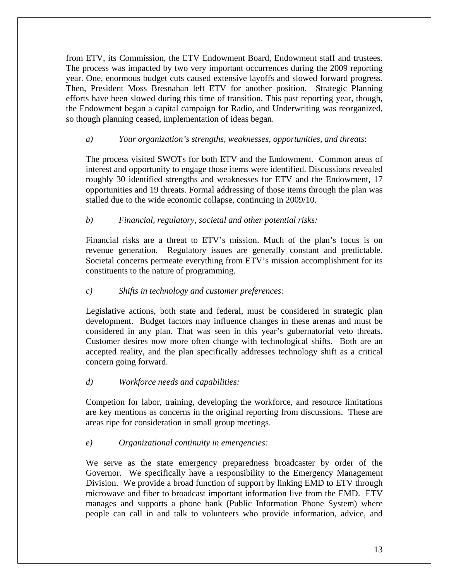from ETV, its Commission, the ETV Endowment Board, Endowment staff and trustees. The process was impacted by two very important occurrences during the 2009 reporting year. One, enormous budget cuts caused extensive layoffs and slowed forward progress. Then, President Moss Bresnahan left ETV for another position. Strategic Planning efforts have been slowed during this time of transition. This past reporting year, though, the Endowment began a capital campaign for Radio, and Underwriting was reorganized, so though planning ceased, implementation of ideas began.

# *a) Your organization's strengths, weaknesses, opportunities, and threats*:

The process visited SWOTs for both ETV and the Endowment. Common areas of interest and opportunity to engage those items were identified. Discussions revealed roughly 30 identified strengths and weaknesses for ETV and the Endowment, 17 opportunities and 19 threats. Formal addressing of those items through the plan was stalled due to the wide economic collapse, continuing in 2009/10.

# *b) Financial, regulatory, societal and other potential risks:*

Financial risks are a threat to ETV's mission. Much of the plan's focus is on revenue generation. Regulatory issues are generally constant and predictable. Societal concerns permeate everything from ETV's mission accomplishment for its constituents to the nature of programming.

#### *c) Shifts in technology and customer preferences:*

Legislative actions, both state and federal, must be considered in strategic plan development. Budget factors may influence changes in these arenas and must be considered in any plan. That was seen in this year's gubernatorial veto threats. Customer desires now more often change with technological shifts. Both are an accepted reality, and the plan specifically addresses technology shift as a critical concern going forward.

#### *d) Workforce needs and capabilities:*

Competion for labor, training, developing the workforce, and resource limitations are key mentions as concerns in the original reporting from discussions. These are areas ripe for consideration in small group meetings.

#### *e) Organizational continuity in emergencies:*

We serve as the state emergency preparedness broadcaster by order of the Governor. We specifically have a responsibility to the Emergency Management Division. We provide a broad function of support by linking EMD to ETV through microwave and fiber to broadcast important information live from the EMD. ETV manages and supports a phone bank (Public Information Phone System) where people can call in and talk to volunteers who provide information, advice, and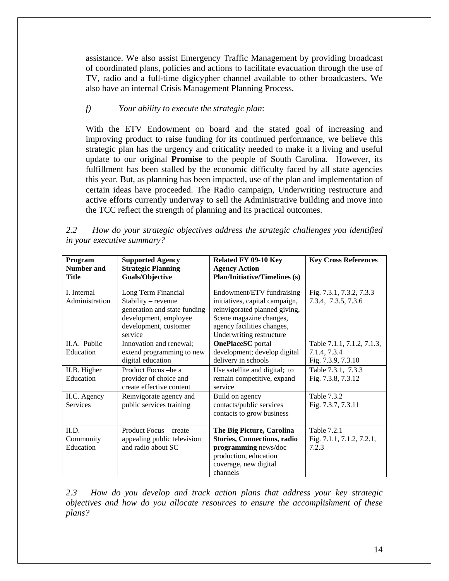assistance. We also assist Emergency Traffic Management by providing broadcast of coordinated plans, policies and actions to facilitate evacuation through the use of TV, radio and a full-time digicypher channel available to other broadcasters. We also have an internal Crisis Management Planning Process.

# *f) Your ability to execute the strategic plan*:

With the ETV Endowment on board and the stated goal of increasing and improving product to raise funding for its continued performance, we believe this strategic plan has the urgency and criticality needed to make it a living and useful update to our original **Promise** to the people of South Carolina. However, its fulfillment has been stalled by the economic difficulty faced by all state agencies this year. But, as planning has been impacted, use of the plan and implementation of certain ideas have proceeded. The Radio campaign, Underwriting restructure and active efforts currently underway to sell the Administrative building and move into the TCC reflect the strength of planning and its practical outcomes.

| Program           | <b>Supported Agency</b>      | Related FY 09-10 Key                 | <b>Key Cross References</b> |
|-------------------|------------------------------|--------------------------------------|-----------------------------|
| <b>Number and</b> | <b>Strategic Planning</b>    | <b>Agency Action</b>                 |                             |
| Title             | <b>Goals/Objective</b>       | <b>Plan/Initiative/Timelines (s)</b> |                             |
|                   |                              |                                      |                             |
| L. Internal       | Long Term Financial          | Endowment/ETV fundraising            | Fig. 7.3.1, 7.3.2, 7.3.3    |
| Administration    | Stability – revenue          | initiatives, capital campaign,       | 7.3.4, 7.3.5, 7.3.6         |
|                   | generation and state funding | reinvigorated planned giving,        |                             |
|                   | development, employee        | Scene magazine changes,              |                             |
|                   | development, customer        | agency facilities changes,           |                             |
|                   | service                      | Underwriting restructure             |                             |
| II.A. Public      | Innovation and renewal;      | <b>OnePlaceSC</b> portal             | Table 7.1.1, 7.1.2, 7.1.3,  |
| Education         | extend programming to new    | development; develop digital         | 7.1.4, 7.3.4                |
|                   | digital education            | delivery in schools                  | Fig. 7.3.9, 7.3.10          |
| II.B. Higher      | Product Focus -be a          | Use satellite and digital; to        | Table 7.3.1, 7.3.3          |
| Education         | provider of choice and       | remain competitive, expand           | Fig. 7.3.8, 7.3.12          |
|                   | create effective content     | service                              |                             |
| II.C. Agency      | Reinvigorate agency and      | Build on agency                      | <b>Table 7.3.2</b>          |
| <b>Services</b>   | public services training     | contacts/public services             | Fig. 7.3.7, 7.3.11          |
|                   |                              | contacts to grow business            |                             |
|                   |                              |                                      |                             |
| II.D.             | Product Focus – create       | The Big Picture, Carolina            | <b>Table 7.2.1</b>          |
| Community         | appealing public television  | <b>Stories, Connections, radio</b>   | Fig. 7.1.1, 7.1.2, 7.2.1,   |
| Education         | and radio about SC           | programming news/doc                 | 7.2.3                       |
|                   |                              | production, education                |                             |
|                   |                              | coverage, new digital                |                             |
|                   |                              | channels                             |                             |

*2.2 How do your strategic objectives address the strategic challenges you identified in your executive summary?* 

*2.3 How do you develop and track action plans that address your key strategic objectives and how do you allocate resources to ensure the accomplishment of these plans?*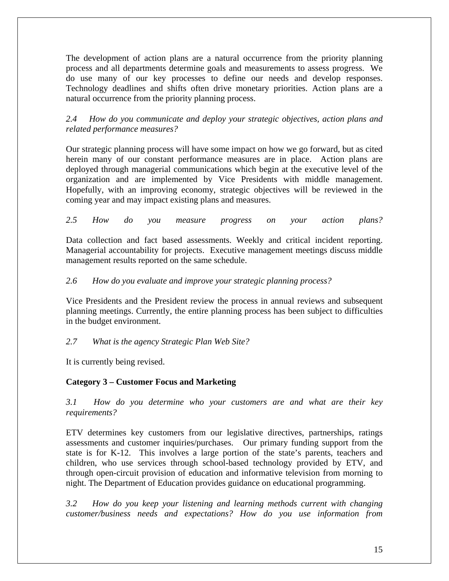The development of action plans are a natural occurrence from the priority planning process and all departments determine goals and measurements to assess progress. We do use many of our key processes to define our needs and develop responses. Technology deadlines and shifts often drive monetary priorities. Action plans are a natural occurrence from the priority planning process.

*2.4 How do you communicate and deploy your strategic objectives, action plans and related performance measures?*

Our strategic planning process will have some impact on how we go forward, but as cited herein many of our constant performance measures are in place. Action plans are deployed through managerial communications which begin at the executive level of the organization and are implemented by Vice Presidents with middle management. Hopefully, with an improving economy, strategic objectives will be reviewed in the coming year and may impact existing plans and measures.

*2.5 How do you measure progress on your action plans?*

Data collection and fact based assessments. Weekly and critical incident reporting. Managerial accountability for projects. Executive management meetings discuss middle management results reported on the same schedule.

# *2.6 How do you evaluate and improve your strategic planning process?*

Vice Presidents and the President review the process in annual reviews and subsequent planning meetings. Currently, the entire planning process has been subject to difficulties in the budget environment.

#### *2.7 What is the agency Strategic Plan Web Site?*

It is currently being revised.

#### **Category 3 – Customer Focus and Marketing**

*3.1 How do you determine who your customers are and what are their key requirements?* 

ETV determines key customers from our legislative directives, partnerships, ratings assessments and customer inquiries/purchases. Our primary funding support from the state is for K-12. This involves a large portion of the state's parents, teachers and children, who use services through school-based technology provided by ETV, and through open-circuit provision of education and informative television from morning to night. The Department of Education provides guidance on educational programming.

*3.2 How do you keep your listening and learning methods current with changing customer/business needs and expectations? How do you use information from*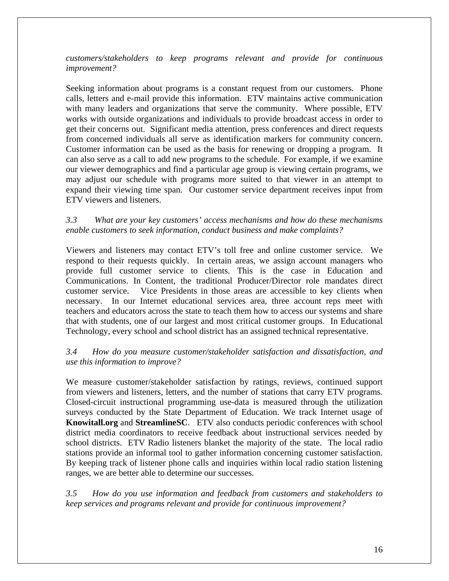*customers/stakeholders to keep programs relevant and provide for continuous improvement?* 

Seeking information about programs is a constant request from our customers. Phone calls, letters and e-mail provide this information. ETV maintains active communication with many leaders and organizations that serve the community. Where possible, ETV works with outside organizations and individuals to provide broadcast access in order to get their concerns out. Significant media attention, press conferences and direct requests from concerned individuals all serve as identification markers for community concern. Customer information can be used as the basis for renewing or dropping a program. It can also serve as a call to add new programs to the schedule. For example, if we examine our viewer demographics and find a particular age group is viewing certain programs, we may adjust our schedule with programs more suited to that viewer in an attempt to expand their viewing time span. Our customer service department receives input from ETV viewers and listeners.

# *3.3 What are your key customers' access mechanisms and how do these mechanisms enable customers to seek information, conduct business and make complaints?*

Viewers and listeners may contact ETV's toll free and online customer service. We respond to their requests quickly. In certain areas, we assign account managers who provide full customer service to clients. This is the case in Education and Communications. In Content, the traditional Producer/Director role mandates direct customer service. Vice Presidents in those areas are accessible to key clients when necessary. In our Internet educational services area, three account reps meet with teachers and educators across the state to teach them how to access our systems and share that with students, one of our largest and most critical customer groups. In Educational Technology, every school and school district has an assigned technical representative.

# *3.4 How do you measure customer/stakeholder satisfaction and dissatisfaction, and use this information to improve?*

We measure customer/stakeholder satisfaction by ratings, reviews, continued support from viewers and listeners, letters, and the number of stations that carry ETV programs. Closed-circuit instructional programming use-data is measured through the utilization surveys conducted by the State Department of Education. We track Internet usage of **Knowitall.org** and **StreamlineSC**. ETV also conducts periodic conferences with school district media coordinators to receive feedback about instructional services needed by school districts. ETV Radio listeners blanket the majority of the state. The local radio stations provide an informal tool to gather information concerning customer satisfaction. By keeping track of listener phone calls and inquiries within local radio station listening ranges, we are better able to determine our successes.

*3.5 How do you use information and feedback from customers and stakeholders to keep services and programs relevant and provide for continuous improvement?*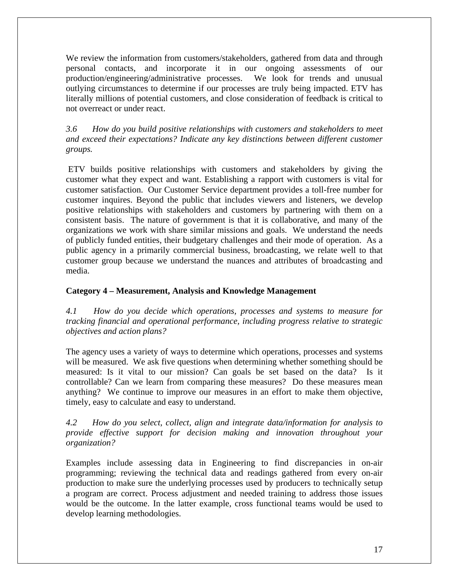We review the information from customers/stakeholders, gathered from data and through personal contacts, and incorporate it in our ongoing assessments of our production/engineering/administrative processes. We look for trends and unusual outlying circumstances to determine if our processes are truly being impacted. ETV has literally millions of potential customers, and close consideration of feedback is critical to not overreact or under react.

*3.6 How do you build positive relationships with customers and stakeholders to meet and exceed their expectations? Indicate any key distinctions between different customer groups.* 

ETV builds positive relationships with customers and stakeholders by giving the customer what they expect and want. Establishing a rapport with customers is vital for customer satisfaction. Our Customer Service department provides a toll-free number for customer inquires. Beyond the public that includes viewers and listeners, we develop positive relationships with stakeholders and customers by partnering with them on a consistent basis. The nature of government is that it is collaborative, and many of the organizations we work with share similar missions and goals. We understand the needs of publicly funded entities, their budgetary challenges and their mode of operation. As a public agency in a primarily commercial business, broadcasting, we relate well to that customer group because we understand the nuances and attributes of broadcasting and media.

# **Category 4 – Measurement, Analysis and Knowledge Management**

*4.1 How do you decide which operations, processes and systems to measure for tracking financial and operational performance, including progress relative to strategic objectives and action plans?*

The agency uses a variety of ways to determine which operations, processes and systems will be measured. We ask five questions when determining whether something should be measured: Is it vital to our mission? Can goals be set based on the data? Is it controllable? Can we learn from comparing these measures? Do these measures mean anything? We continue to improve our measures in an effort to make them objective, timely, easy to calculate and easy to understand.

*4.2 How do you select, collect, align and integrate data/information for analysis to provide effective support for decision making and innovation throughout your organization?* 

Examples include assessing data in Engineering to find discrepancies in on-air programming; reviewing the technical data and readings gathered from every on-air production to make sure the underlying processes used by producers to technically setup a program are correct. Process adjustment and needed training to address those issues would be the outcome. In the latter example, cross functional teams would be used to develop learning methodologies.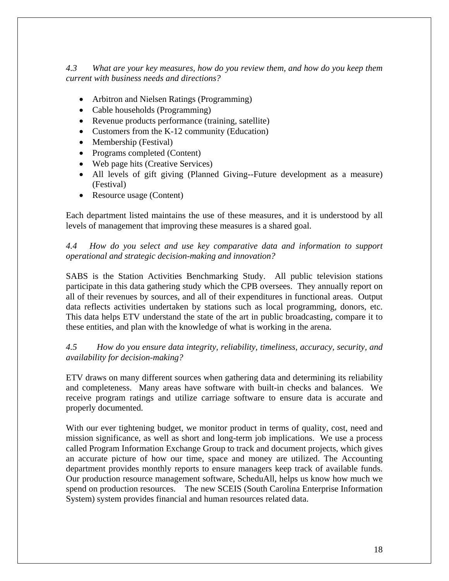*4.3 What are your key measures, how do you review them, and how do you keep them current with business needs and directions?* 

- Arbitron and Nielsen Ratings (Programming)
- Cable households (Programming)
- Revenue products performance (training, satellite)
- Customers from the K-12 community (Education)
- Membership (Festival)
- Programs completed (Content)
- Web page hits (Creative Services)
- All levels of gift giving (Planned Giving--Future development as a measure) (Festival)
- Resource usage (Content)

Each department listed maintains the use of these measures, and it is understood by all levels of management that improving these measures is a shared goal.

*4.4 How do you select and use key comparative data and information to support operational and strategic decision-making and innovation?* 

SABS is the Station Activities Benchmarking Study. All public television stations participate in this data gathering study which the CPB oversees. They annually report on all of their revenues by sources, and all of their expenditures in functional areas. Output data reflects activities undertaken by stations such as local programming, donors, etc. This data helps ETV understand the state of the art in public broadcasting, compare it to these entities, and plan with the knowledge of what is working in the arena.

*4.5 How do you ensure data integrity, reliability, timeliness, accuracy, security, and availability for decision-making?*

ETV draws on many different sources when gathering data and determining its reliability and completeness. Many areas have software with built-in checks and balances. We receive program ratings and utilize carriage software to ensure data is accurate and properly documented.

With our ever tightening budget, we monitor product in terms of quality, cost, need and mission significance, as well as short and long-term job implications. We use a process called Program Information Exchange Group to track and document projects, which gives an accurate picture of how our time, space and money are utilized. The Accounting department provides monthly reports to ensure managers keep track of available funds. Our production resource management software, ScheduAll, helps us know how much we spend on production resources. The new SCEIS (South Carolina Enterprise Information System) system provides financial and human resources related data.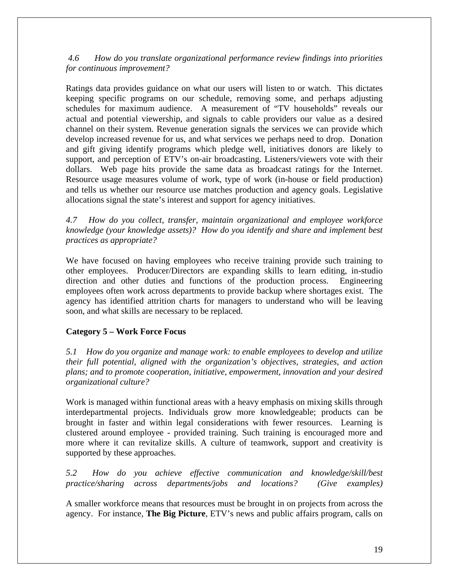*4.6 How do you translate organizational performance review findings into priorities for continuous improvement?* 

Ratings data provides guidance on what our users will listen to or watch. This dictates keeping specific programs on our schedule, removing some, and perhaps adjusting schedules for maximum audience. A measurement of "TV households" reveals our actual and potential viewership, and signals to cable providers our value as a desired channel on their system. Revenue generation signals the services we can provide which develop increased revenue for us, and what services we perhaps need to drop. Donation and gift giving identify programs which pledge well, initiatives donors are likely to support, and perception of ETV's on-air broadcasting. Listeners/viewers vote with their dollars. Web page hits provide the same data as broadcast ratings for the Internet. Resource usage measures volume of work, type of work (in-house or field production) and tells us whether our resource use matches production and agency goals. Legislative allocations signal the state's interest and support for agency initiatives.

*4.7 How do you collect, transfer, maintain organizational and employee workforce knowledge (your knowledge assets)? How do you identify and share and implement best practices as appropriate?*

We have focused on having employees who receive training provide such training to other employees. Producer/Directors are expanding skills to learn editing, in-studio direction and other duties and functions of the production process. Engineering employees often work across departments to provide backup where shortages exist. The agency has identified attrition charts for managers to understand who will be leaving soon, and what skills are necessary to be replaced.

# **Category 5 – Work Force Focus**

*5.1 How do you organize and manage work: to enable employees to develop and utilize their full potential, aligned with the organization's objectives, strategies, and action plans; and to promote cooperation, initiative, empowerment, innovation and your desired organizational culture?* 

Work is managed within functional areas with a heavy emphasis on mixing skills through interdepartmental projects. Individuals grow more knowledgeable; products can be brought in faster and within legal considerations with fewer resources. Learning is clustered around employee - provided training. Such training is encouraged more and more where it can revitalize skills. A culture of teamwork, support and creativity is supported by these approaches.

*5.2 How do you achieve effective communication and knowledge/skill/best practice/sharing across departments/jobs and locations? (Give examples)*

A smaller workforce means that resources must be brought in on projects from across the agency. For instance, **The Big Picture**, ETV's news and public affairs program, calls on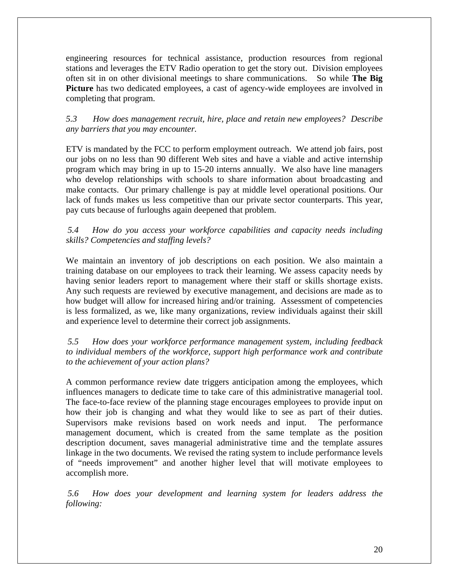engineering resources for technical assistance, production resources from regional stations and leverages the ETV Radio operation to get the story out. Division employees often sit in on other divisional meetings to share communications. So while **The Big Picture** has two dedicated employees, a cast of agency-wide employees are involved in completing that program.

*5.3 How does management recruit, hire, place and retain new employees? Describe any barriers that you may encounter.* 

ETV is mandated by the FCC to perform employment outreach. We attend job fairs, post our jobs on no less than 90 different Web sites and have a viable and active internship program which may bring in up to 15-20 interns annually. We also have line managers who develop relationships with schools to share information about broadcasting and make contacts. Our primary challenge is pay at middle level operational positions. Our lack of funds makes us less competitive than our private sector counterparts. This year, pay cuts because of furloughs again deepened that problem.

#### *5.4 How do you access your workforce capabilities and capacity needs including skills? Competencies and staffing levels?*

We maintain an inventory of job descriptions on each position. We also maintain a training database on our employees to track their learning. We assess capacity needs by having senior leaders report to management where their staff or skills shortage exists. Any such requests are reviewed by executive management, and decisions are made as to how budget will allow for increased hiring and/or training. Assessment of competencies is less formalized, as we, like many organizations, review individuals against their skill and experience level to determine their correct job assignments.

*5.5 How does your workforce performance management system, including feedback to individual members of the workforce, support high performance work and contribute to the achievement of your action plans?* 

A common performance review date triggers anticipation among the employees, which influences managers to dedicate time to take care of this administrative managerial tool. The face-to-face review of the planning stage encourages employees to provide input on how their job is changing and what they would like to see as part of their duties. Supervisors make revisions based on work needs and input. The performance management document, which is created from the same template as the position description document, saves managerial administrative time and the template assures linkage in the two documents. We revised the rating system to include performance levels of "needs improvement" and another higher level that will motivate employees to accomplish more.

*5.6 How does your development and learning system for leaders address the following:*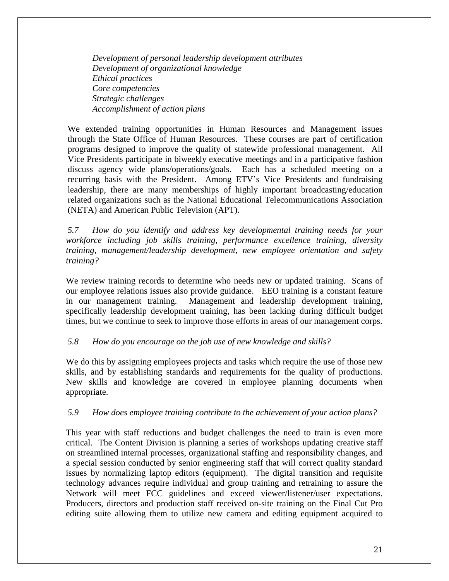*Development of personal leadership development attributes Development of organizational knowledge Ethical practices Core competencies Strategic challenges Accomplishment of action plans* 

We extended training opportunities in Human Resources and Management issues through the State Office of Human Resources. These courses are part of certification programs designed to improve the quality of statewide professional management. All Vice Presidents participate in biweekly executive meetings and in a participative fashion discuss agency wide plans/operations/goals. Each has a scheduled meeting on a recurring basis with the President. Among ETV's Vice Presidents and fundraising leadership, there are many memberships of highly important broadcasting/education related organizations such as the National Educational Telecommunications Association (NETA) and American Public Television (APT).

*5.7 How do you identify and address key developmental training needs for your workforce including job skills training, performance excellence training, diversity training, management/leadership development, new employee orientation and safety training?* 

We review training records to determine who needs new or updated training. Scans of our employee relations issues also provide guidance. EEO training is a constant feature in our management training. Management and leadership development training, specifically leadership development training, has been lacking during difficult budget times, but we continue to seek to improve those efforts in areas of our management corps.

#### *5.8 How do you encourage on the job use of new knowledge and skills?*

We do this by assigning employees projects and tasks which require the use of those new skills, and by establishing standards and requirements for the quality of productions. New skills and knowledge are covered in employee planning documents when appropriate.

#### *5.9 How does employee training contribute to the achievement of your action plans?*

This year with staff reductions and budget challenges the need to train is even more critical. The Content Division is planning a series of workshops updating creative staff on streamlined internal processes, organizational staffing and responsibility changes, and a special session conducted by senior engineering staff that will correct quality standard issues by normalizing laptop editors (equipment). The digital transition and requisite technology advances require individual and group training and retraining to assure the Network will meet FCC guidelines and exceed viewer/listener/user expectations. Producers, directors and production staff received on-site training on the Final Cut Pro editing suite allowing them to utilize new camera and editing equipment acquired to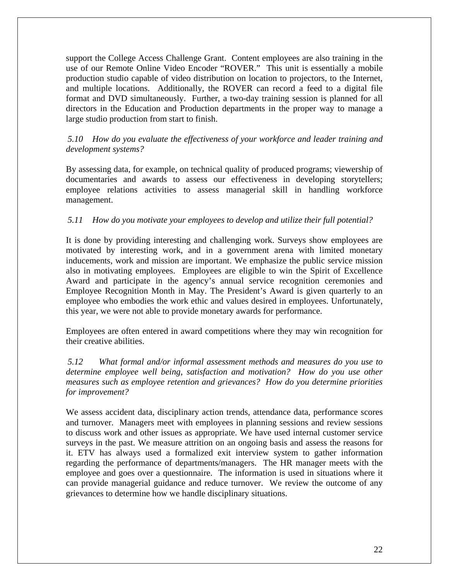support the College Access Challenge Grant. Content employees are also training in the use of our Remote Online Video Encoder "ROVER." This unit is essentially a mobile production studio capable of video distribution on location to projectors, to the Internet, and multiple locations. Additionally, the ROVER can record a feed to a digital file format and DVD simultaneously. Further, a two-day training session is planned for all directors in the Education and Production departments in the proper way to manage a large studio production from start to finish.

# *5.10 How do you evaluate the effectiveness of your workforce and leader training and development systems?*

By assessing data, for example, on technical quality of produced programs; viewership of documentaries and awards to assess our effectiveness in developing storytellers; employee relations activities to assess managerial skill in handling workforce management.

# *5.11 How do you motivate your employees to develop and utilize their full potential?*

It is done by providing interesting and challenging work. Surveys show employees are motivated by interesting work, and in a government arena with limited monetary inducements, work and mission are important. We emphasize the public service mission also in motivating employees. Employees are eligible to win the Spirit of Excellence Award and participate in the agency's annual service recognition ceremonies and Employee Recognition Month in May. The President's Award is given quarterly to an employee who embodies the work ethic and values desired in employees. Unfortunately, this year, we were not able to provide monetary awards for performance.

Employees are often entered in award competitions where they may win recognition for their creative abilities.

*5.12 What formal and/or informal assessment methods and measures do you use to determine employee well being, satisfaction and motivation? How do you use other measures such as employee retention and grievances? How do you determine priorities for improvement?* 

We assess accident data, disciplinary action trends, attendance data, performance scores and turnover. Managers meet with employees in planning sessions and review sessions to discuss work and other issues as appropriate. We have used internal customer service surveys in the past. We measure attrition on an ongoing basis and assess the reasons for it. ETV has always used a formalized exit interview system to gather information regarding the performance of departments/managers. The HR manager meets with the employee and goes over a questionnaire. The information is used in situations where it can provide managerial guidance and reduce turnover. We review the outcome of any grievances to determine how we handle disciplinary situations.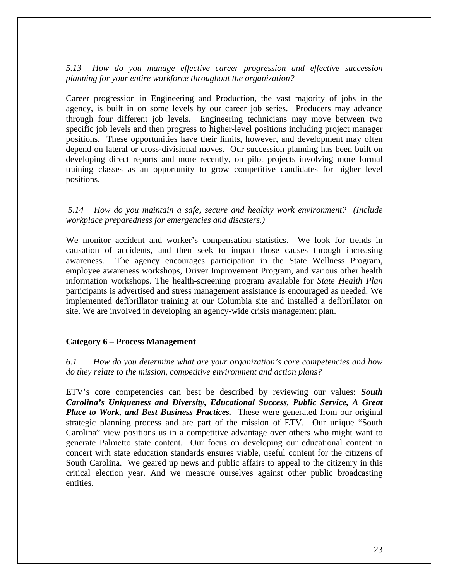#### *5.13 How do you manage effective career progression and effective succession planning for your entire workforce throughout the organization?*

Career progression in Engineering and Production, the vast majority of jobs in the agency, is built in on some levels by our career job series. Producers may advance through four different job levels. Engineering technicians may move between two specific job levels and then progress to higher-level positions including project manager positions. These opportunities have their limits, however, and development may often depend on lateral or cross-divisional moves. Our succession planning has been built on developing direct reports and more recently, on pilot projects involving more formal training classes as an opportunity to grow competitive candidates for higher level positions.

#### *5.14 How do you maintain a safe, secure and healthy work environment? (Include workplace preparedness for emergencies and disasters.)*

We monitor accident and worker's compensation statistics. We look for trends in causation of accidents, and then seek to impact those causes through increasing awareness. The agency encourages participation in the State Wellness Program, employee awareness workshops, Driver Improvement Program, and various other health information workshops. The health-screening program available for *State Health Plan* participants is advertised and stress management assistance is encouraged as needed. We implemented defibrillator training at our Columbia site and installed a defibrillator on site. We are involved in developing an agency-wide crisis management plan.

#### **Category 6 – Process Management**

*6.1 How do you determine what are your organization's core competencies and how do they relate to the mission, competitive environment and action plans?*

ETV's core competencies can best be described by reviewing our values: *South Carolina's Uniqueness and Diversity, Educational Success, Public Service, A Great Place to Work, and Best Business Practices.* These were generated from our original strategic planning process and are part of the mission of ETV. Our unique "South Carolina" view positions us in a competitive advantage over others who might want to generate Palmetto state content. Our focus on developing our educational content in concert with state education standards ensures viable, useful content for the citizens of South Carolina. We geared up news and public affairs to appeal to the citizenry in this critical election year. And we measure ourselves against other public broadcasting entities.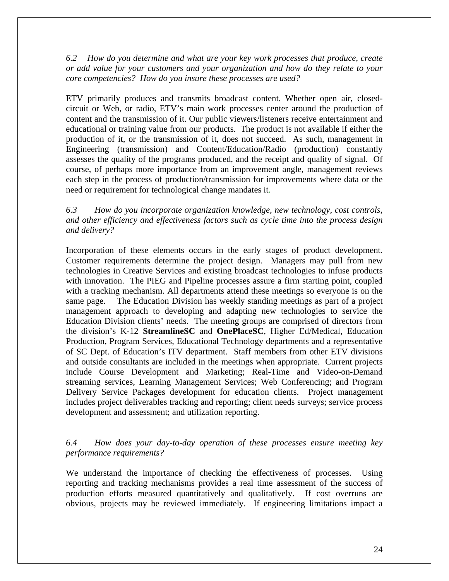*6.2 How do you determine and what are your key work processes that produce, create or add value for your customers and your organization and how do they relate to your core competencies? How do you insure these processes are used?* 

ETV primarily produces and transmits broadcast content. Whether open air, closedcircuit or Web, or radio, ETV's main work processes center around the production of content and the transmission of it. Our public viewers/listeners receive entertainment and educational or training value from our products. The product is not available if either the production of it, or the transmission of it, does not succeed. As such, management in Engineering (transmission) and Content/Education/Radio (production) constantly assesses the quality of the programs produced, and the receipt and quality of signal. Of course, of perhaps more importance from an improvement angle, management reviews each step in the process of production/transmission for improvements where data or the need or requirement for technological change mandates it.

*6.3 How do you incorporate organization knowledge, new technology, cost controls, and other efficiency and effectiveness factors such as cycle time into the process design and delivery?*

Incorporation of these elements occurs in the early stages of product development. Customer requirements determine the project design. Managers may pull from new technologies in Creative Services and existing broadcast technologies to infuse products with innovation. The PIEG and Pipeline processes assure a firm starting point, coupled with a tracking mechanism. All departments attend these meetings so everyone is on the same page. The Education Division has weekly standing meetings as part of a project management approach to developing and adapting new technologies to service the Education Division clients' needs. The meeting groups are comprised of directors from the division's K-12 **StreamlineSC** and **OnePlaceSC**, Higher Ed/Medical, Education Production, Program Services, Educational Technology departments and a representative of SC Dept. of Education's ITV department. Staff members from other ETV divisions and outside consultants are included in the meetings when appropriate. Current projects include Course Development and Marketing; Real-Time and Video-on-Demand streaming services, Learning Management Services; Web Conferencing; and Program Delivery Service Packages development for education clients. Project management includes project deliverables tracking and reporting; client needs surveys; service process development and assessment; and utilization reporting.

#### *6.4 How does your day-to-day operation of these processes ensure meeting key performance requirements?*

We understand the importance of checking the effectiveness of processes. Using reporting and tracking mechanisms provides a real time assessment of the success of production efforts measured quantitatively and qualitatively. If cost overruns are obvious, projects may be reviewed immediately. If engineering limitations impact a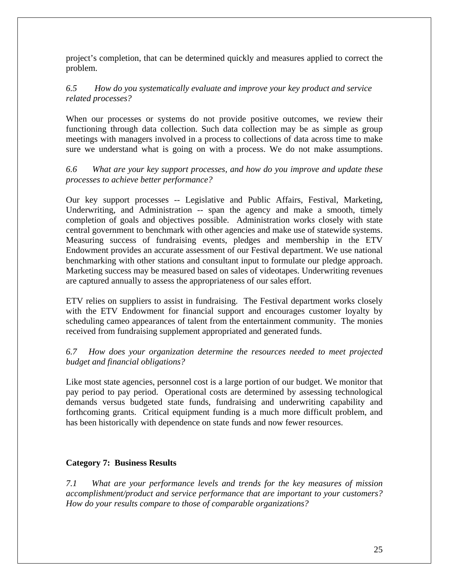project's completion, that can be determined quickly and measures applied to correct the problem.

# *6.5 How do you systematically evaluate and improve your key product and service related processes?*

When our processes or systems do not provide positive outcomes, we review their functioning through data collection. Such data collection may be as simple as group meetings with managers involved in a process to collections of data across time to make sure we understand what is going on with a process. We do not make assumptions.

# *6.6 What are your key support processes, and how do you improve and update these processes to achieve better performance?*

Our key support processes -- Legislative and Public Affairs, Festival, Marketing, Underwriting, and Administration -- span the agency and make a smooth, timely completion of goals and objectives possible. Administration works closely with state central government to benchmark with other agencies and make use of statewide systems. Measuring success of fundraising events, pledges and membership in the ETV Endowment provides an accurate assessment of our Festival department. We use national benchmarking with other stations and consultant input to formulate our pledge approach. Marketing success may be measured based on sales of videotapes. Underwriting revenues are captured annually to assess the appropriateness of our sales effort.

ETV relies on suppliers to assist in fundraising. The Festival department works closely with the ETV Endowment for financial support and encourages customer loyalty by scheduling cameo appearances of talent from the entertainment community. The monies received from fundraising supplement appropriated and generated funds.

# *6.7 How does your organization determine the resources needed to meet projected budget and financial obligations?*

Like most state agencies, personnel cost is a large portion of our budget. We monitor that pay period to pay period. Operational costs are determined by assessing technological demands versus budgeted state funds, fundraising and underwriting capability and forthcoming grants. Critical equipment funding is a much more difficult problem, and has been historically with dependence on state funds and now fewer resources.

# **Category 7: Business Results**

*7.1 What are your performance levels and trends for the key measures of mission accomplishment/product and service performance that are important to your customers? How do your results compare to those of comparable organizations?*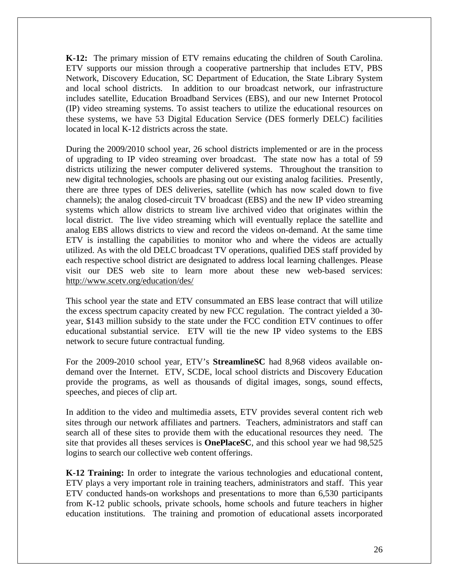**K-12:** The primary mission of ETV remains educating the children of South Carolina. ETV supports our mission through a cooperative partnership that includes [ETV](http://www.myetv.org/), PBS Network, Discovery Education, SC [Department of Education,](http://www.myscschools.com/) the State Library System and [local school districts.](http://www.myetv.org/education/delc/map.cfm) In addition to our broadcast network, our infrastructure includes satellite, Education Broadband Services (EBS), and our new Internet Protocol (IP) video streaming systems. To assist teachers to utilize the educational resources on these systems, we have 53 Digital Education Service (DES formerly DELC) facilities located in local K-12 districts across the state.

During the 2009/2010 school year, 26 school districts implemented or are in the process of upgrading to IP video streaming over broadcast. The state now has a total of 59 districts utilizing the newer computer delivered systems. Throughout the transition to new digital technologies, schools are phasing out our existing analog facilities. Presently, there are three types of DES deliveries, satellite (which has now scaled down to five channels); the analog closed-circuit TV broadcast (EBS) and the new IP video streaming systems which allow districts to stream live archived video that originates within the local district. The live video streaming which will eventually replace the satellite and analog EBS allows districts to view and record the videos on-demand. At the same time ETV is installing the capabilities to monitor who and where the videos are actually utilized. As with the old DELC broadcast TV operations, qualified DES staff provided by each respective school district are designated to address local learning challenges. Please visit our DES web site to learn more about these new web-based services: <http://www.scetv.org/education/des/>

This school year the state and ETV consummated an EBS lease contract that will utilize the excess spectrum capacity created by new FCC regulation. The contract yielded a 30 year, \$143 million subsidy to the state under the FCC condition ETV continues to offer educational substantial service. ETV will tie the new IP video systems to the EBS network to secure future contractual funding.

For the 2009-2010 school year, ETV's **StreamlineSC** had 8,968 videos available ondemand over the Internet. ETV, SCDE, local school districts and Discovery Education provide the programs, as well as thousands of digital images, songs, sound effects, speeches, and pieces of clip art.

In addition to the video and multimedia assets, ETV provides several content rich web sites through our network affiliates and partners. Teachers, administrators and staff can search all of these sites to provide them with the educational resources they need. The site that provides all theses services is **OnePlaceSC**, and this school year we had 98,525 logins to search our collective web content offerings.

**K-12 Training:** In order to integrate the various technologies and educational content, ETV plays a very important role in training teachers, administrators and staff. This year ETV conducted hands-on workshops and presentations to more than 6,530 participants from K-12 public schools, private schools, home schools and future teachers in higher education institutions. The training and promotion of educational assets incorporated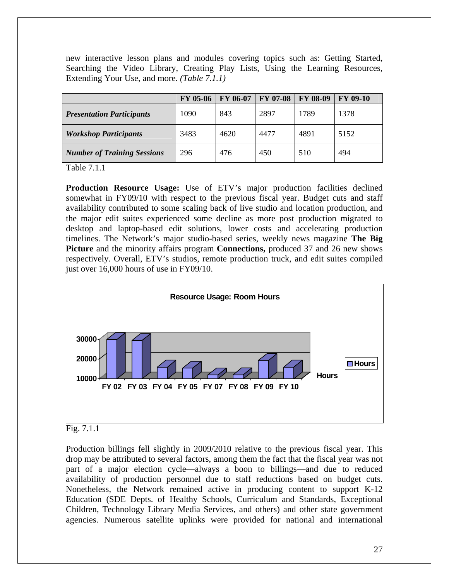new interactive lesson plans and modules covering topics such as: Getting Started, Searching the Video Library, Creating Play Lists, Using the Learning Resources, Extending Your Use, and more. *(Table 7.1.1)*

|                                    | <b>FY 05-06</b> | <b>FY 06-07</b> | <b>FY 07-08</b> | <b>FY 08-09</b> | <b>FY 09-10</b> |
|------------------------------------|-----------------|-----------------|-----------------|-----------------|-----------------|
| <b>Presentation Participants</b>   | 1090            | 843             | 2897            | 1789            | 1378            |
| <b>Workshop Participants</b>       | 3483            | 4620            | 4477            | 4891            | 5152            |
| <b>Number of Training Sessions</b> | 296             | 476             | 450             | 510             | 494             |

Table 7.1.1

**Production Resource Usage:** Use of ETV's major production facilities declined somewhat in FY09/10 with respect to the previous fiscal year. Budget cuts and staff availability contributed to some scaling back of live studio and location production, and the major edit suites experienced some decline as more post production migrated to desktop and laptop-based edit solutions, lower costs and accelerating production timelines. The Network's major studio-based series, weekly news magazine **The Big Picture** and the minority affairs program **Connections,** produced 37 and 26 new shows respectively. Overall, ETV's studios, remote production truck, and edit suites compiled just over 16,000 hours of use in FY09/10.



#### Fig. 7.1.1

Production billings fell slightly in 2009/2010 relative to the previous fiscal year. This drop may be attributed to several factors, among them the fact that the fiscal year was not part of a major election cycle—always a boon to billings—and due to reduced availability of production personnel due to staff reductions based on budget cuts. Nonetheless, the Network remained active in producing content to support K-12 Education (SDE Depts. of Healthy Schools, Curriculum and Standards, Exceptional Children, Technology Library Media Services, and others) and other state government agencies. Numerous satellite uplinks were provided for national and international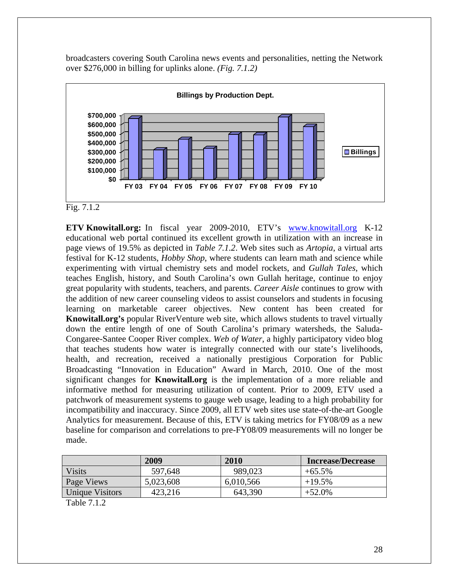broadcasters covering South Carolina news events and personalities, netting the Network over \$276,000 in billing for uplinks alone. *(Fig. 7.1.2)*



Fig. 7.1.2

**ETV Knowitall.org:** In fiscal year 2009-2010, ETV's [www.knowitall.org](http://www.knowitall.org/) K-12 educational web portal continued its excellent growth in utilization with an increase in page views of 19.5% as depicted in *Table 7.1.2*. Web sites such as *Artopia*, a virtual arts festival for K-12 students, *Hobby Shop*, where students can learn math and science while experimenting with virtual chemistry sets and model rockets, and *Gullah Tales*, which teaches English, history, and South Carolina's own Gullah heritage, continue to enjoy great popularity with students, teachers, and parents. *Career Aisle* continues to grow with the addition of new career counseling videos to assist counselors and students in focusing learning on marketable career objectives. New content has been created for **Knowitall.org's** popular RiverVenture web site, which allows students to travel virtually down the entire length of one of South Carolina's primary watersheds, the Saluda-Congaree-Santee Cooper River complex. *Web of Water*, a highly participatory video blog that teaches students how water is integrally connected with our state's livelihoods, health, and recreation, received a nationally prestigious Corporation for Public Broadcasting "Innovation in Education" Award in March, 2010. One of the most significant changes for **Knowitall.org** is the implementation of a more reliable and informative method for measuring utilization of content. Prior to 2009, ETV used a patchwork of measurement systems to gauge web usage, leading to a high probability for incompatibility and inaccuracy. Since 2009, all ETV web sites use state-of-the-art Google Analytics for measurement. Because of this, ETV is taking metrics for FY08/09 as a new baseline for comparison and correlations to pre-FY08/09 measurements will no longer be made.

|                        | 2009      | 2010      | <b>Increase/Decrease</b> |
|------------------------|-----------|-----------|--------------------------|
| <b>Visits</b>          | 597,648   | 989.023   | $+65.5\%$                |
| Page Views             | 5,023,608 | 6,010,566 | $+19.5%$                 |
| <b>Unique Visitors</b> | 423,216   | 643,390   | $+52.0\%$                |
| T 1 1 7 1 0            |           |           |                          |

Table 7.1.2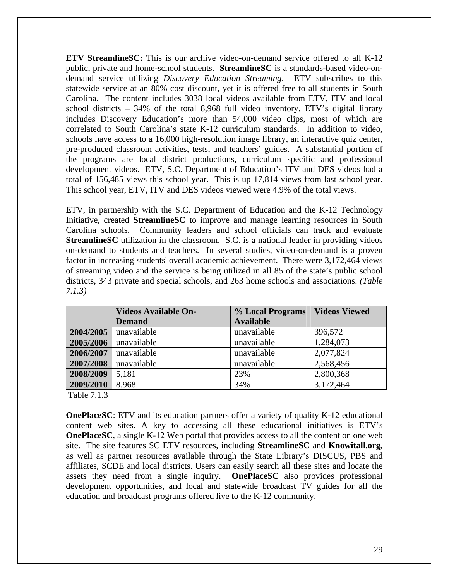**ETV StreamlineSC:** This is our archive video-on-demand service offered to all K-12 public, private and home-school students. **StreamlineSC** is a standards-based video-ondemand service utilizing *Discovery Education Streaming*. ETV subscribes to this statewide service at an 80% cost discount, yet it is offered free to all students in South Carolina. The content includes 3038 local videos available from ETV, ITV and local school districts – 34% of the total 8,968 full video inventory. ETV's digital library includes Discovery Education's more than 54,000 video clips, most of which are correlated to South Carolina's state K-12 curriculum standards. In addition to video, schools have access to a 16,000 high-resolution image library, an interactive quiz center, pre-produced classroom activities, tests, and teachers' guides. A substantial portion of the programs are local district productions, curriculum specific and professional development videos. ETV, S.C. Department of Education's ITV and DES videos had a total of 156,485 views this school year. This is up 17,814 views from last school year. This school year, ETV, ITV and DES videos viewed were 4.9% of the total views.

ETV, in partnership with the S.C. Department of Education and the K-12 Technology Initiative, created **StreamlineSC** to improve and manage learning resources in South Carolina schools. Community leaders and school officials can track and evaluate **StreamlineSC** utilization in the classroom. S.C. is a national leader in providing videos on-demand to students and teachers. In several studies, video-on-demand is a proven factor in increasing students' overall academic achievement. There were 3,172,464 views of streaming video and the service is being utilized in all 85 of the state's public school districts, 343 private and special schools, and 263 home schools and associations. *(Table 7.1.3)* 

|           | <b>Videos Available On-</b> | % Local Programs | <b>Videos Viewed</b> |
|-----------|-----------------------------|------------------|----------------------|
|           | <b>Demand</b>               | <b>Available</b> |                      |
| 2004/2005 | unavailable                 | unavailable      | 396,572              |
| 2005/2006 | unavailable                 | unavailable      | 1,284,073            |
| 2006/2007 | unavailable                 | unavailable      | 2,077,824            |
| 2007/2008 | unavailable                 | unavailable      | 2,568,456            |
| 2008/2009 | 5,181                       | 23%              | 2,800,368            |
| 2009/2010 | 8,968                       | 34%              | 3,172,464            |

Table 7.1.3

**OnePlaceSC**: ETV and its education partners offer a variety of quality K-12 educational content web sites. A key to accessing all these educational initiatives is ETV's **OnePlaceSC**, a single K-12 Web portal that provides access to all the content on one web site. The site features SC ETV resources, including **StreamlineSC** and **Knowitall.org,** as well as partner resources available through the State Library's DISCUS, PBS and affiliates, SCDE and local districts. Users can easily search all these sites and locate the assets they need from a single inquiry. **OnePlaceSC** also provides professional development opportunities, and local and statewide broadcast TV guides for all the education and broadcast programs offered live to the K-12 community.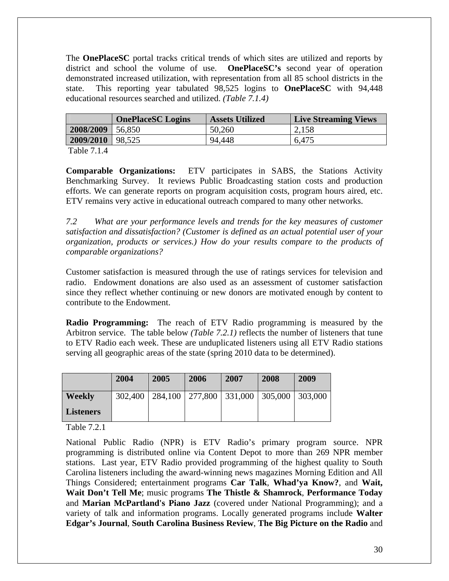The **OnePlaceSC** portal tracks critical trends of which sites are utilized and reports by district and school the volume of use.**OnePlaceSC's** second year of operation demonstrated increased utilization, with representation from all 85 school districts in the state. This reporting year tabulated 98,525 logins to **OnePlaceSC** with 94,448 educational resources searched and utilized. *(Table 7.1.4)* 

|                      | <b>OnePlaceSC Logins</b> | <b>Assets Utilized</b> | <b>Live Streaming Views</b> |
|----------------------|--------------------------|------------------------|-----------------------------|
| 2008/2009            | 56,850                   | 50,260                 | 2,158                       |
| $2009/2010$   98,525 |                          | 94,448                 | 6,475                       |
|                      |                          |                        |                             |

Table 7.1.4

**Comparable Organizations:** ETV participates in SABS, the Stations Activity Benchmarking Survey. It reviews Public Broadcasting station costs and production efforts. We can generate reports on program acquisition costs, program hours aired, etc. ETV remains very active in educational outreach compared to many other networks.

*7.2 What are your performance levels and trends for the key measures of customer satisfaction and dissatisfaction? (Customer is defined as an actual potential user of your organization, products or services.) How do your results compare to the products of comparable organizations?* 

Customer satisfaction is measured through the use of ratings services for television and radio. Endowment donations are also used as an assessment of customer satisfaction since they reflect whether continuing or new donors are motivated enough by content to contribute to the Endowment.

**Radio Programming:** The reach of ETV Radio programming is measured by the Arbitron service. The table below *(Table 7.2.1)* reflects the number of listeners that tune to ETV Radio each week. These are unduplicated listeners using all ETV Radio stations serving all geographic areas of the state (spring 2010 data to be determined).

|                  | 2004    | 2005 | 2006 | 2007 | 2008                                            | 2009 |
|------------------|---------|------|------|------|-------------------------------------------------|------|
| <b>Weekly</b>    | 302,400 |      |      |      | 284,100   277,800   331,000   305,000   303,000 |      |
| <b>Listeners</b> |         |      |      |      |                                                 |      |

Table 7.2.1

National Public Radio (NPR) is ETV Radio's primary program source. NPR programming is distributed online via Content Depot to more than 269 NPR member stations. Last year, ETV Radio provided programming of the highest quality to South Carolina listeners including the award-winning news magazines Morning Edition and All Things Considered; entertainment programs **Car Talk**, **Whad'ya Know?**, and **Wait, Wait Don't Tell Me**; music programs **The Thistle & Shamrock**, **Performance Today** and **Marian McPartland's Piano Jazz** (covered under National Programming); and a variety of talk and information programs. Locally generated programs include **Walter Edgar's Journal**, **South Carolina Business Review**, **The Big Picture on the Radio** and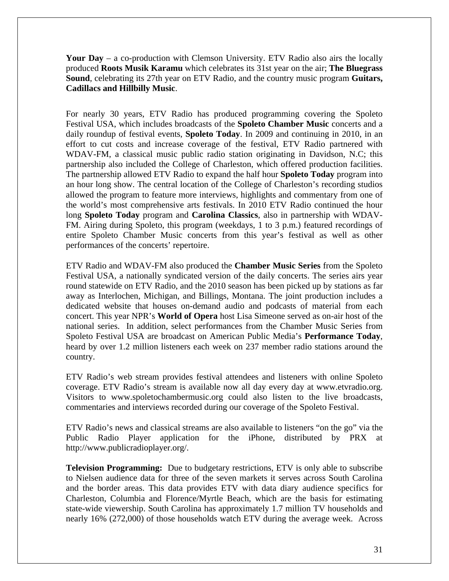**Your Day** – a co-production with Clemson University. ETV Radio also airs the locally produced **Roots Musik Karamu** which celebrates its 31st year on the air; **The Bluegrass Sound**, celebrating its 27th year on ETV Radio, and the country music program **Guitars, Cadillacs and Hillbilly Music**.

For nearly 30 years, ETV Radio has produced programming covering the Spoleto Festival USA, which includes broadcasts of the **Spoleto Chamber Music** concerts and a daily roundup of festival events, **Spoleto Today**. In 2009 and continuing in 2010, in an effort to cut costs and increase coverage of the festival, ETV Radio partnered with WDAV-FM, a classical music public radio station originating in Davidson, N.C; this partnership also included the College of Charleston, which offered production facilities. The partnership allowed ETV Radio to expand the half hour **Spoleto Today** program into an hour long show. The central location of the College of Charleston's recording studios allowed the program to feature more interviews, highlights and commentary from one of the world's most comprehensive arts festivals. In 2010 ETV Radio continued the hour long **Spoleto Today** program and **Carolina Classics**, also in partnership with WDAV-FM. Airing during Spoleto, this program (weekdays, 1 to 3 p.m.) featured recordings of entire Spoleto Chamber Music concerts from this year's festival as well as other performances of the concerts' repertoire.

ETV Radio and WDAV-FM also produced the **Chamber Music Series** from the Spoleto Festival USA, a nationally syndicated version of the daily concerts. The series airs year round statewide on ETV Radio, and the 2010 season has been picked up by stations as far away as Interlochen, Michigan, and Billings, Montana. The joint production includes a dedicated website that houses on-demand audio and podcasts of material from each concert. This year NPR's **World of Opera** host Lisa Simeone served as on-air host of the national series. In addition, select performances from the Chamber Music Series from Spoleto Festival USA are broadcast on American Public Media's **Performance Today**, heard by over 1.2 million listeners each week on 237 member radio stations around the country.

ETV Radio's web stream provides festival attendees and listeners with online Spoleto coverage. ETV Radio's stream is available now all day every day at [www.etvradio.org](http://www.etvradio.org/). Visitors to [www.spoletochambermusic.org](http://www.spoletochambermusic.org/) could also listen to the live broadcasts, commentaries and interviews recorded during our coverage of the Spoleto Festival.

ETV Radio's news and classical streams are also available to listeners "on the go" via the Public Radio Player application for the iPhone, distributed by PRX at [http://www.publicradioplayer.org](http://www.publicradioplayer.org/)/.

**Television Programming:** Due to budgetary restrictions, ETV is only able to subscribe to Nielsen audience data for three of the seven markets it serves across South Carolina and the border areas. This data provides ETV with data diary audience specifics for Charleston, Columbia and Florence/Myrtle Beach, which are the basis for estimating state-wide viewership. South Carolina has approximately 1.7 million TV households and nearly 16% (272,000) of those households watch ETV during the average week. Across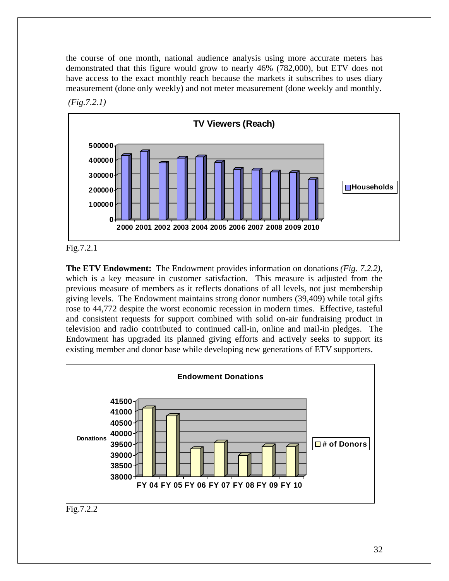the course of one month, national audience analysis using more accurate meters has demonstrated that this figure would grow to nearly 46% (782,000), but ETV does not have access to the exact monthly reach because the markets it subscribes to uses diary measurement (done only weekly) and not meter measurement (done weekly and monthly.







**The ETV Endowment:** The Endowment provides information on donations *(Fig. 7.2.2)*, which is a key measure in customer satisfaction. This measure is adjusted from the previous measure of members as it reflects donations of all levels, not just membership giving levels. The Endowment maintains strong donor numbers (39,409) while total gifts rose to 44,772 despite the worst economic recession in modern times. Effective, tasteful and consistent requests for support combined with solid on-air fundraising product in television and radio contributed to continued call-in, online and mail-in pledges. The Endowment has upgraded its planned giving efforts and actively seeks to support its existing member and donor base while developing new generations of ETV supporters.



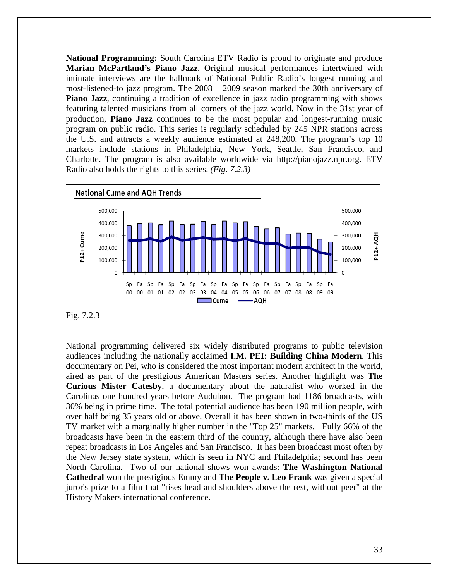**National Programming:** South Carolina ETV Radio is proud to originate and produce **Marian McPartland's Piano Jazz**. Original musical performances intertwined with intimate interviews are the hallmark of National Public Radio's longest running and most-listened-to jazz program. The 2008 – 2009 season marked the 30th anniversary of **Piano Jazz**, continuing a tradition of excellence in jazz radio programming with shows featuring talented musicians from all corners of the jazz world. Now in the 31st year of production, **Piano Jazz** continues to be the most popular and longest-running music program on public radio. This series is regularly scheduled by 245 NPR stations across the U.S. and attracts a weekly audience estimated at 248,200. The program's top 10 markets include stations in Philadelphia, New York, Seattle, San Francisco, and Charlotte. The program is also available worldwide via http://pianojazz.npr.org. ETV Radio also holds the rights to this series. *(Fig. 7.2.3)*



Fig. 7.2.3

National programming delivered six widely distributed programs to public television audiences including the nationally acclaimed **I.M. PEI: Building China Modern**. This documentary on Pei, who is considered the most important modern architect in the world, aired as part of the prestigious American Masters series. Another highlight was **The Curious Mister Catesby**, a documentary about the naturalist who worked in the Carolinas one hundred years before Audubon. The program had 1186 broadcasts, with 30% being in prime time. The total potential audience has been 190 million people, with over half being 35 years old or above. Overall it has been shown in two-thirds of the US TV market with a marginally higher number in the "Top 25" markets. Fully 66% of the broadcasts have been in the eastern third of the country, although there have also been repeat broadcasts in Los Angeles and San Francisco. It has been broadcast most often by the New Jersey state system, which is seen in NYC and Philadelphia; second has been North Carolina. Two of our national shows won awards: **The Washington National Cathedral** won the prestigious Emmy and **The People v. Leo Frank** was given a special juror's prize to a film that "rises head and shoulders above the rest, without peer" at the History Makers international conference.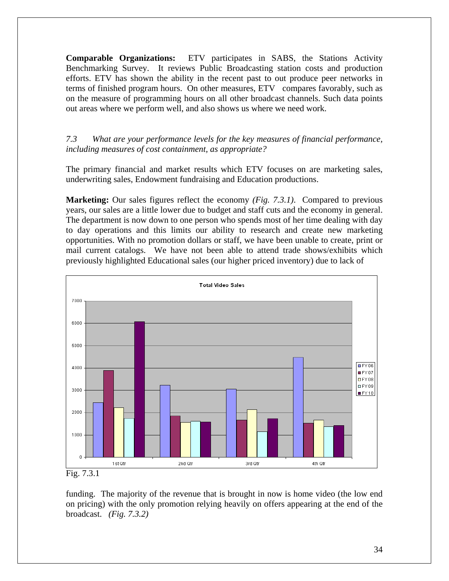**Comparable Organizations:** ETV participates in SABS, the Stations Activity Benchmarking Survey. It reviews Public Broadcasting station costs and production efforts. ETV has shown the ability in the recent past to out produce peer networks in terms of finished program hours. On other measures, ETV compares favorably, such as on the measure of programming hours on all other broadcast channels. Such data points out areas where we perform well, and also shows us where we need work.

*7.3 What are your performance levels for the key measures of financial performance, including measures of cost containment, as appropriate?* 

The primary financial and market results which ETV focuses on are marketing sales, underwriting sales, Endowment fundraising and Education productions.

**Marketing:** Our sales figures reflect the economy *(Fig. 7.3.1)*. Compared to previous years, our sales are a little lower due to budget and staff cuts and the economy in general. The department is now down to one person who spends most of her time dealing with day to day operations and this limits our ability to research and create new marketing opportunities. With no promotion dollars or staff, we have been unable to create, print or mail current catalogs. We have not been able to attend trade shows/exhibits which previously highlighted Educational sales (our higher priced inventory) due to lack of



Fig. 7.3.1

funding. The majority of the revenue that is brought in now is home video (the low end on pricing) with the only promotion relying heavily on offers appearing at the end of the broadcast. *(Fig. 7.3.2)*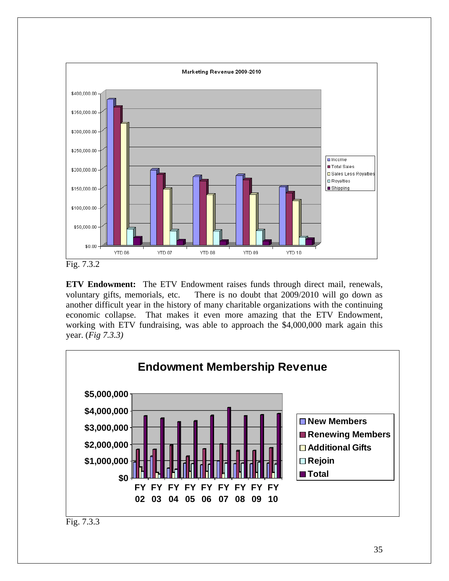

**ETV Endowment:** The ETV Endowment raises funds through direct mail, renewals, voluntary gifts, memorials, etc. There is no doubt that 2009/2010 will go down as another difficult year in the history of many charitable organizations with the continuing economic collapse. That makes it even more amazing that the ETV Endowment, working with ETV fundraising, was able to approach the \$4,000,000 mark again this year. (*Fig 7.3.3)*



Fig. 7.3.3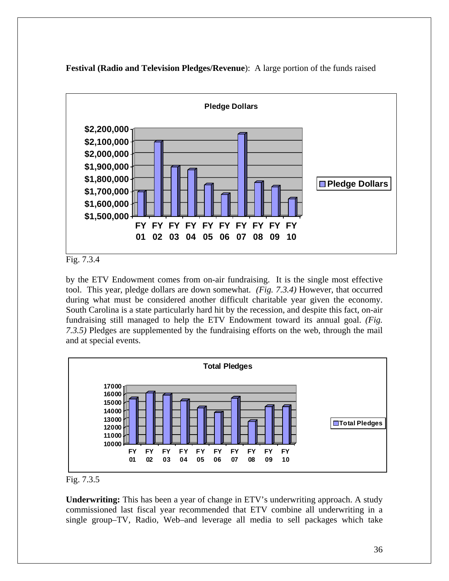

**Festival (Radio and Television Pledges/Revenue**): A large portion of the funds raised

Fig. 7.3.4

by the ETV Endowment comes from on-air fundraising. It is the single most effective tool. This year, pledge dollars are down somewhat. *(Fig. 7.3.4)* However, that occurred during what must be considered another difficult charitable year given the economy. South Carolina is a state particularly hard hit by the recession, and despite this fact, on-air fundraising still managed to help the ETV Endowment toward its annual goal. *(Fig. 7.3.5)* Pledges are supplemented by the fundraising efforts on the web, through the mail and at special events.



Fig. 7.3.5

**Underwriting:** This has been a year of change in ETV's underwriting approach. A study commissioned last fiscal year recommended that ETV combine all underwriting in a single group–TV, Radio, Web–and leverage all media to sell packages which take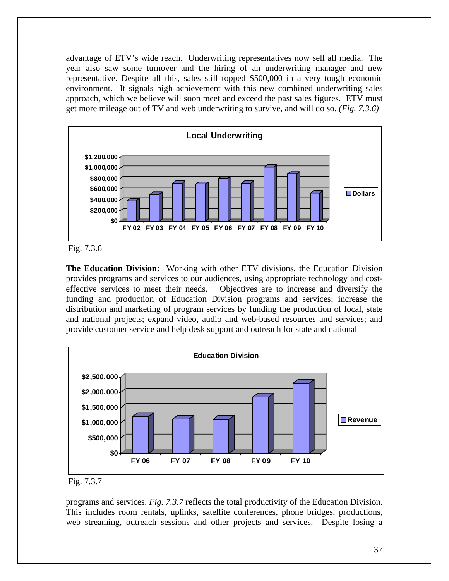advantage of ETV's wide reach. Underwriting representatives now sell all media. The year also saw some turnover and the hiring of an underwriting manager and new representative. Despite all this, sales still topped \$500,000 in a very tough economic environment. It signals high achievement with this new combined underwriting sales approach, which we believe will soon meet and exceed the past sales figures. ETV must get more mileage out of TV and web underwriting to survive, and will do so. *(Fig. 7.3.6)*





**The Education Division:** Working with other ETV divisions, the Education Division provides programs and services to our audiences, using appropriate technology and costeffective services to meet their needs. Objectives are to increase and diversify the funding and production of Education Division programs and services; increase the distribution and marketing of program services by funding the production of local, state and national projects; expand video, audio and web-based resources and services; and provide customer service and help desk support and outreach for state and national



Fig. 7.3.7

programs and services. *Fig. 7.3.7* reflects the total productivity of the Education Division. This includes room rentals, uplinks, satellite conferences, phone bridges, productions, web streaming, outreach sessions and other projects and services. Despite losing a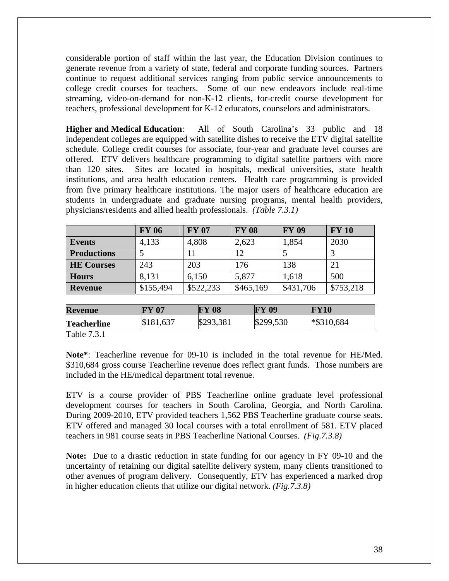considerable portion of staff within the last year, the Education Division continues to generate revenue from a variety of state, federal and corporate funding sources. Partners continue to request additional services ranging from public service announcements to college credit courses for teachers. Some of our new endeavors include real-time streaming, video-on-demand for non-K-12 clients, for-credit course development for teachers, professional development for K-12 educators, counselors and administrators.

**Higher and Medical Education**: All of South Carolina's 33 public and 18 independent colleges are equipped with satellite dishes to receive the ETV digital satellite schedule. College credit courses for associate, four-year and graduate level courses are offered. ETV delivers healthcare programming to digital satellite partners with more than 120 sites. Sites are located in hospitals, medical universities, state health institutions, and area health education centers. Health care programming is provided from five primary healthcare institutions. The major users of healthcare education are students in undergraduate and graduate nursing programs, mental health providers, physicians/residents and allied health professionals. *(Table 7.3.1)* 

|                    | <b>FY 06</b> | <b>FY 07</b> | <b>FY 08</b> | <b>FY 09</b> | <b>FY 10</b> |
|--------------------|--------------|--------------|--------------|--------------|--------------|
| <b>Events</b>      | 4,133        | 4,808        | 2,623        | 1,854        | 2030         |
| <b>Productions</b> |              | 11           | 12           |              |              |
| <b>HE Courses</b>  | 243          | 203          | 176          | 138          | 21           |
| <b>Hours</b>       | 8,131        | 6,150        | 5,877        | 1,618        | 500          |
| Revenue            | \$155,494    | \$522,233    | \$465,169    | \$431,706    | \$753,218    |

| <b>Revenue</b>     | <b>FY 07</b> | <b>FY 08</b> | <b>FY 09</b> | <b>FY10</b>   |
|--------------------|--------------|--------------|--------------|---------------|
| <b>Teacherline</b> | \$181,637    | \$293,381    | \$299,530    | $*$ \$310,684 |

Table 7.3.1

**Note\***: Teacherline revenue for 09-10 is included in the total revenue for HE/Med. \$310,684 gross course Teacherline revenue does reflect grant funds. Those numbers are included in the HE/medical department total revenue.

ETV is a course provider of PBS Teacherline online graduate level professional development courses for teachers in South Carolina, Georgia, and North Carolina. During 2009-2010, ETV provided teachers 1,562 PBS Teacherline graduate course seats. ETV offered and managed 30 local courses with a total enrollment of 581. ETV placed teachers in 981 course seats in PBS Teacherline National Courses. *(Fig.7.3.8)*

**Note:** Due to a drastic reduction in state funding for our agency in FY 09-10 and the uncertainty of retaining our digital satellite delivery system, many clients transitioned to other avenues of program delivery. Consequently, ETV has experienced a marked drop in higher education clients that utilize our digital network. *(Fig.7.3.8)*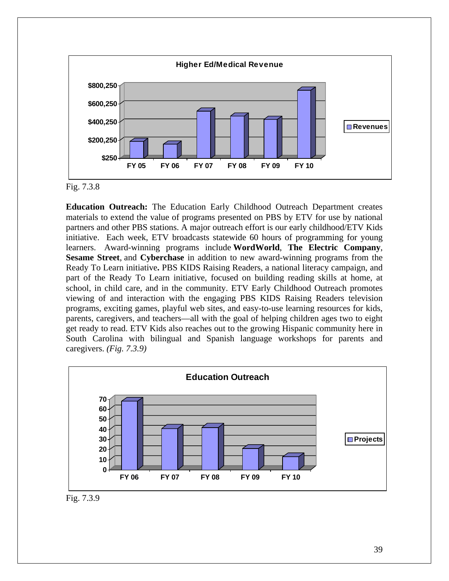



**Education Outreach:** The Education Early Childhood Outreach Department creates materials to extend the value of programs presented on PBS by ETV for use by national partners and other PBS stations. A major outreach effort is our early childhood/ETV Kids initiative. Each week, ETV broadcasts statewide 60 hours of programming for young learners. Award-winning programs include **WordWorld**, **The Electric Company**, **Sesame Street**, and **Cyberchase** in addition to new award-winning programs from the Ready To Learn initiative**.** PBS KIDS Raising Readers, a national literacy campaign, and part of the Ready To Learn initiative, focused on building reading skills at home, at school, in child care, and in the community. ETV Early Childhood Outreach promotes viewing of and interaction with the engaging PBS KIDS Raising Readers television programs, exciting games, playful web sites, and easy-to-use learning resources for kids, parents, caregivers, and teachers—all with the goal of helping children ages two to eight get ready to read. ETV Kids also reaches out to the growing Hispanic community here in South Carolina with bilingual and Spanish language workshops for parents and caregivers. *(Fig. 7.3.9)* 



Fig. 7.3.9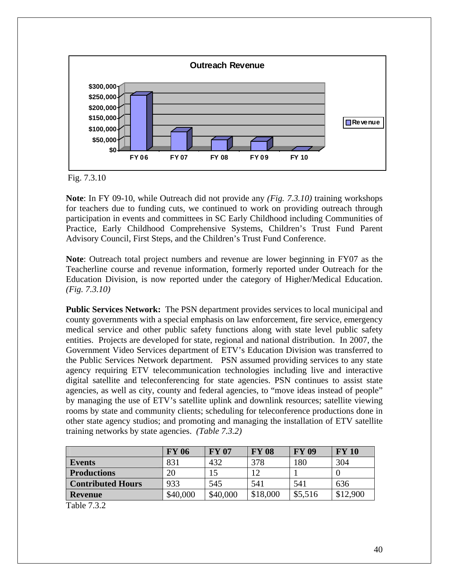

Fig. 7.3.10

**Note**: In FY 09-10, while Outreach did not provide any *(Fig. 7.3.10)* training workshops for teachers due to funding cuts, we continued to work on providing outreach through participation in events and committees in SC Early Childhood including Communities of Practice, Early Childhood Comprehensive Systems, Children's Trust Fund Parent Advisory Council, First Steps, and the Children's Trust Fund Conference.

**Note**: Outreach total project numbers and revenue are lower beginning in FY07 as the Teacherline course and revenue information, formerly reported under Outreach for the Education Division, is now reported under the category of Higher/Medical Education. *(Fig. 7.3.10)*

**Public Services Network:** The PSN department provides services to local municipal and county governments with a special emphasis on law enforcement, fire service, emergency medical service and other public safety functions along with state level public safety entities. Projects are developed for state, regional and national distribution. In 2007, the Government Video Services department of ETV's Education Division was transferred to the Public Services Network department. PSN assumed providing services to any state agency requiring ETV telecommunication technologies including live and interactive digital satellite and teleconferencing for state agencies. PSN continues to assist state agencies, as well as city, county and federal agencies, to "move ideas instead of people" by managing the use of ETV's satellite uplink and downlink resources; satellite viewing rooms by state and community clients; scheduling for teleconference productions done in other state agency studios; and promoting and managing the installation of ETV satellite training networks by state agencies. *(Table 7.3.2)*

|                          | <b>FY 06</b> | <b>FY 07</b> | <b>FY 08</b> | <b>FY 09</b> | <b>FY 10</b> |
|--------------------------|--------------|--------------|--------------|--------------|--------------|
| <b>Events</b>            | 831          | 432          | 378          | 180          | 304          |
| <b>Productions</b>       | 20           |              | 12           |              |              |
| <b>Contributed Hours</b> | 933          | 545          | 541          | 541          | 636          |
| <b>Revenue</b>           | \$40,000     | \$40,000     | \$18,000     | \$5,516      | \$12,900     |

Table 7.3.2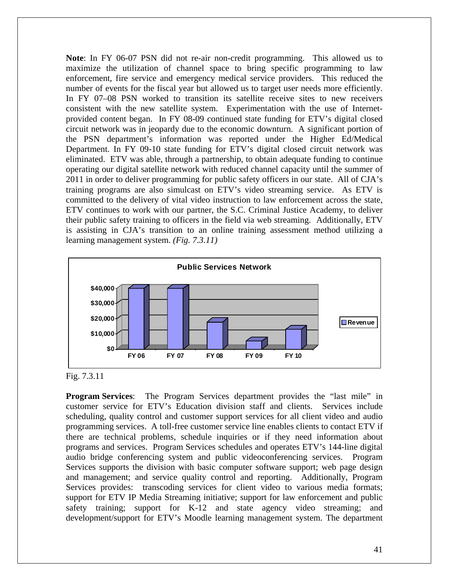**Note**: In FY 06-07 PSN did not re-air non-credit programming. This allowed us to maximize the utilization of channel space to bring specific programming to law enforcement, fire service and emergency medical service providers. This reduced the number of events for the fiscal year but allowed us to target user needs more efficiently. In FY 07–08 PSN worked to transition its satellite receive sites to new receivers consistent with the new satellite system. Experimentation with the use of Internetprovided content began. In FY 08-09 continued state funding for ETV's digital closed circuit network was in jeopardy due to the economic downturn. A significant portion of the PSN department's information was reported under the Higher Ed/Medical Department. In FY 09-10 state funding for ETV's digital closed circuit network was eliminated. ETV was able, through a partnership, to obtain adequate funding to continue operating our digital satellite network with reduced channel capacity until the summer of 2011 in order to deliver programming for public safety officers in our state. All of CJA's training programs are also simulcast on ETV's video streaming service. As ETV is committed to the delivery of vital video instruction to law enforcement across the state, ETV continues to work with our partner, the S.C. Criminal Justice Academy, to deliver their public safety training to officers in the field via web streaming. Additionally, ETV is assisting in CJA's transition to an online training assessment method utilizing a learning management system. *(Fig. 7.3.11)* 





**Program Services**: The Program Services department provides the "last mile" in customer service for ETV's Education division staff and clients. Services include scheduling, quality control and customer support services for all client video and audio programming services. A toll-free customer service line enables clients to contact ETV if there are technical problems, schedule inquiries or if they need information about programs and services. Program Services schedules and operates ETV's 144-line digital audio bridge conferencing system and public videoconferencing services. Program Services supports the division with basic computer software support; web page design and management; and service quality control and reporting. Additionally, Program Services provides: transcoding services for client video to various media formats; support for ETV IP Media Streaming initiative; support for law enforcement and public safety training; support for K-12 and state agency video streaming; and development/support for ETV's Moodle learning management system. The department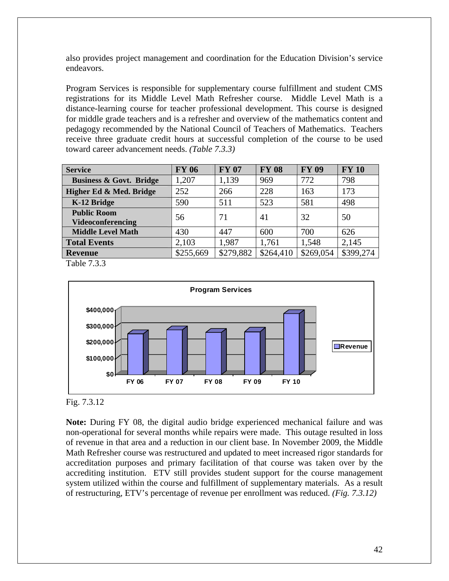also provides project management and coordination for the Education Division's service endeavors.

Program Services is responsible for supplementary course fulfillment and student CMS registrations for its Middle Level Math Refresher course. Middle Level Math is a distance-learning course for teacher professional development. This course is designed for middle grade teachers and is a refresher and overview of the mathematics content and pedagogy recommended by the National Council of Teachers of Mathematics. Teachers receive three graduate credit hours at successful completion of the course to be used toward career advancement needs. *(Table 7.3.3)* 

| <b>Service</b>                                 | <b>FY 06</b> | <b>FY 07</b> | <b>FY 08</b> | <b>FY 09</b> | <b>FY 10</b> |
|------------------------------------------------|--------------|--------------|--------------|--------------|--------------|
| <b>Business &amp; Govt. Bridge</b>             | 1,207        | 1,139        | 969          | 772          | 798          |
| Higher Ed & Med. Bridge                        | 252          | 266          | 228          | 163          | 173          |
| K-12 Bridge                                    | 590          | 511          | 523          | 581          | 498          |
| <b>Public Room</b><br><b>Videoconferencing</b> | 56           | 71           | 41           | 32           | 50           |
| <b>Middle Level Math</b>                       | 430          | 447          | 600          | 700          | 626          |
| <b>Total Events</b>                            | 2,103        | 1,987        | 1,761        | 1,548        | 2,145        |
| <b>Revenue</b>                                 | \$255,669    | \$279,882    | \$264,410    | \$269,054    | \$399,274    |

Table 7.3.3



#### Fig. 7.3.12

**Note:** During FY 08, the digital audio bridge experienced mechanical failure and was non-operational for several months while repairs were made. This outage resulted in loss of revenue in that area and a reduction in our client base. In November 2009, the Middle Math Refresher course was restructured and updated to meet increased rigor standards for accreditation purposes and primary facilitation of that course was taken over by the accrediting institution. ETV still provides student support for the course management system utilized within the course and fulfillment of supplementary materials. As a result of restructuring, ETV's percentage of revenue per enrollment was reduced. *(Fig. 7.3.12)*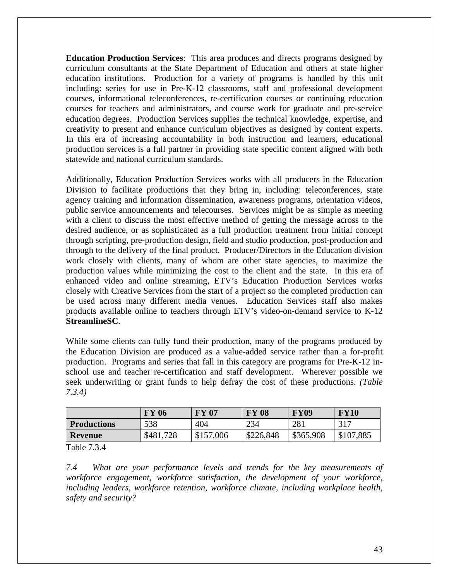**Education Production Services**: This area produces and directs programs designed by curriculum consultants at the State Department of Education and others at state higher education institutions. Production for a variety of programs is handled by this unit including: series for use in Pre-K-12 classrooms, staff and professional development courses, informational teleconferences, re-certification courses or continuing education courses for teachers and administrators, and course work for graduate and pre-service education degrees. Production Services supplies the technical knowledge, expertise, and creativity to present and enhance curriculum objectives as designed by content experts. In this era of increasing accountability in both instruction and learners, educational production services is a full partner in providing state specific content aligned with both statewide and national curriculum standards.

Additionally, Education Production Services works with all producers in the Education Division to facilitate productions that they bring in, including: teleconferences, state agency training and information dissemination, awareness programs, orientation videos, public service announcements and telecourses. Services might be as simple as meeting with a client to discuss the most effective method of getting the message across to the desired audience, or as sophisticated as a full production treatment from initial concept through scripting, pre-production design, field and studio production, post-production and through to the delivery of the final product. Producer/Directors in the Education division work closely with clients, many of whom are other state agencies, to maximize the production values while minimizing the cost to the client and the state. In this era of enhanced video and online streaming, ETV's Education Production Services works closely with Creative Services from the start of a project so the completed production can be used across many different media venues. Education Services staff also makes products available online to teachers through ETV's video-on-demand service to K-12 **StreamlineSC**.

While some clients can fully fund their production, many of the programs produced by the Education Division are produced as a value-added service rather than a for-profit production. Programs and series that fall in this category are programs for Pre-K-12 inschool use and teacher re-certification and staff development. Wherever possible we seek underwriting or grant funds to help defray the cost of these productions. *(Table 7.3.4)* 

|                    | <b>FY 06</b> | <b>FY 07</b> | <b>FY 08</b> | <b>FY09</b> | <b>FY10</b> |
|--------------------|--------------|--------------|--------------|-------------|-------------|
| <b>Productions</b> | 538          | 404          | 234          | 281         | 317         |
| <b>Revenue</b>     | \$481,728    | \$157,006    | \$226,848    | \$365,908   | \$107,885   |
| T 11 701           |              |              |              |             |             |

Table 7.3.4

*7.4 What are your performance levels and trends for the key measurements of workforce engagement, workforce satisfaction, the development of your workforce, including leaders, workforce retention, workforce climate, including workplace health, safety and security?*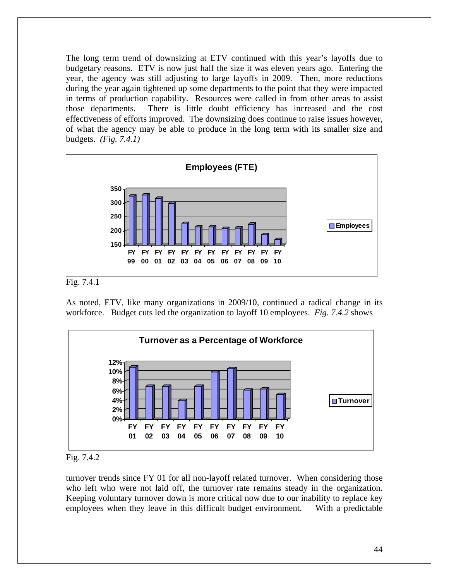The long term trend of downsizing at ETV continued with this year's layoffs due to budgetary reasons. ETV is now just half the size it was eleven years ago. Entering the year, the agency was still adjusting to large layoffs in 2009. Then, more reductions during the year again tightened up some departments to the point that they were impacted in terms of production capability. Resources were called in from other areas to assist those departments. There is little doubt efficiency has increased and the cost effectiveness of efforts improved. The downsizing does continue to raise issues however, of what the agency may be able to produce in the long term with its smaller size and budgets. *(Fig. 7.4.1)*



Fig. 7.4.1

As noted, ETV, like many organizations in 2009/10, continued a radical change in its workforce. Budget cuts led the organization to layoff 10 employees. *Fig. 7.4.2* shows



Fig. 7.4.2

turnover trends since FY 01 for all non-layoff related turnover. When considering those who left who were not laid off, the turnover rate remains steady in the organization. Keeping voluntary turnover down is more critical now due to our inability to replace key employees when they leave in this difficult budget environment. With a predictable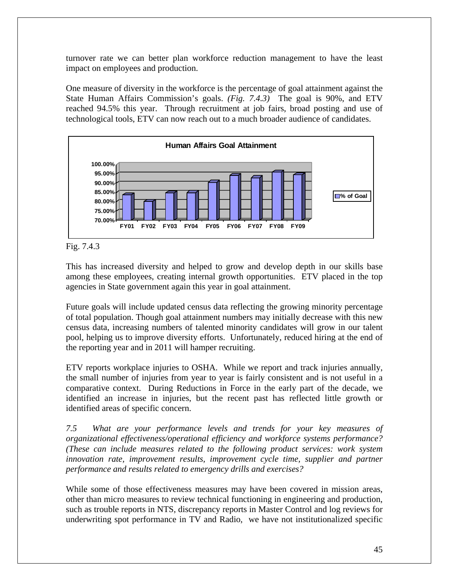turnover rate we can better plan workforce reduction management to have the least impact on employees and production.

One measure of diversity in the workforce is the percentage of goal attainment against the State Human Affairs Commission's goals. *(Fig. 7.4.3)* The goal is 90%, and ETV reached 94.5% this year. Through recruitment at job fairs, broad posting and use of technological tools, ETV can now reach out to a much broader audience of candidates.



Fig. 7.4.3

This has increased diversity and helped to grow and develop depth in our skills base among these employees, creating internal growth opportunities. ETV placed in the top agencies in State government again this year in goal attainment.

Future goals will include updated census data reflecting the growing minority percentage of total population. Though goal attainment numbers may initially decrease with this new census data, increasing numbers of talented minority candidates will grow in our talent pool, helping us to improve diversity efforts. Unfortunately, reduced hiring at the end of the reporting year and in 2011 will hamper recruiting.

ETV reports workplace injuries to OSHA. While we report and track injuries annually, the small number of injuries from year to year is fairly consistent and is not useful in a comparative context. During Reductions in Force in the early part of the decade, we identified an increase in injuries, but the recent past has reflected little growth or identified areas of specific concern.

*7.5 What are your performance levels and trends for your key measures of organizational effectiveness/operational efficiency and workforce systems performance? (These can include measures related to the following product services: work system innovation rate, improvement results, improvement cycle time, supplier and partner performance and results related to emergency drills and exercises?* 

While some of those effectiveness measures may have been covered in mission areas, other than micro measures to review technical functioning in engineering and production, such as trouble reports in NTS, discrepancy reports in Master Control and log reviews for underwriting spot performance in TV and Radio, we have not institutionalized specific